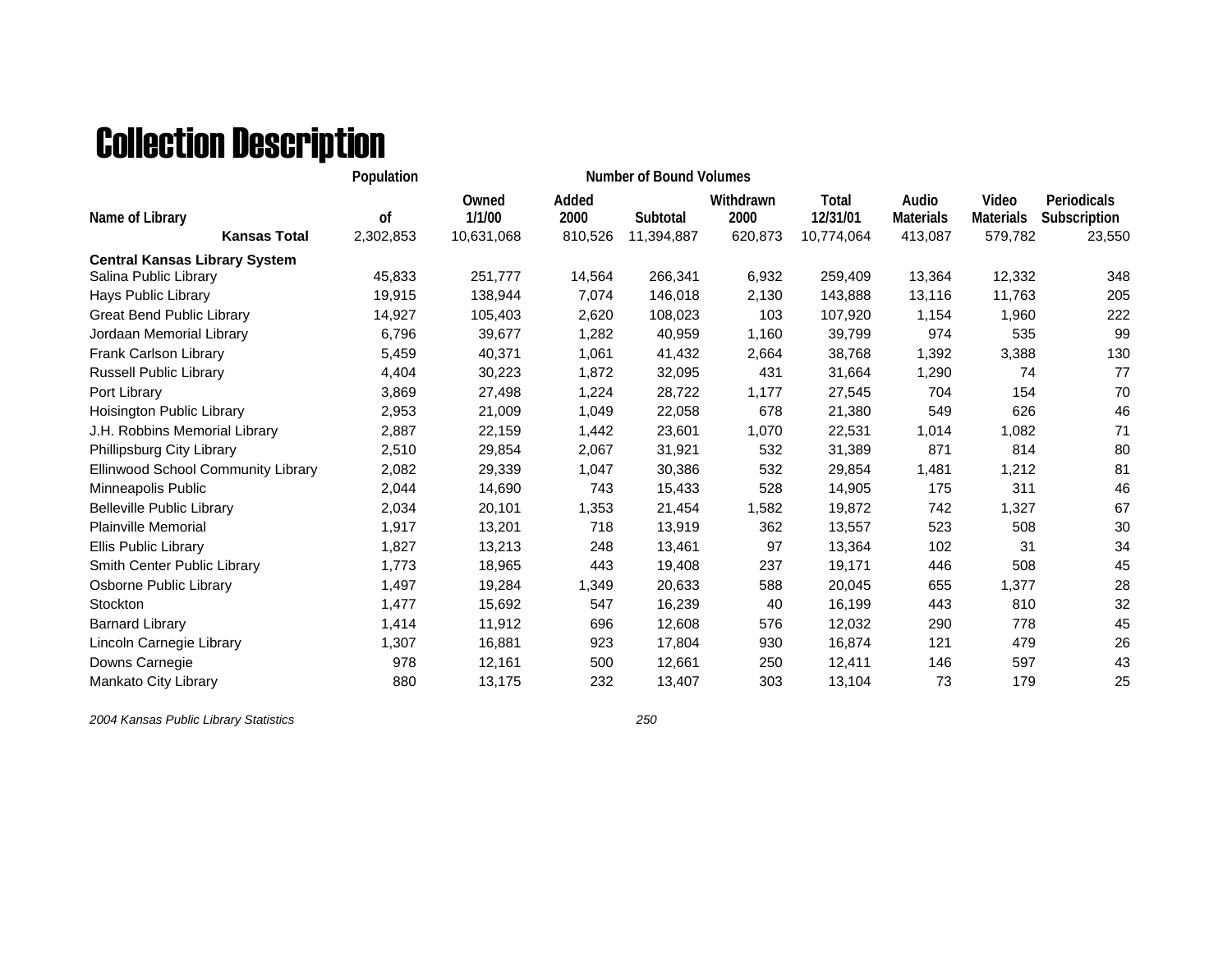## Collection Description

|                                        | Population      |                               |                          |                        |                              |                                 |                                      |                                      |                                       |
|----------------------------------------|-----------------|-------------------------------|--------------------------|------------------------|------------------------------|---------------------------------|--------------------------------------|--------------------------------------|---------------------------------------|
| Name of Library<br><b>Kansas Total</b> | 0f<br>2,302,853 | Owned<br>1/1/00<br>10,631,068 | Added<br>2000<br>810,526 | Subtotal<br>11,394,887 | Withdrawn<br>2000<br>620,873 | Total<br>12/31/01<br>10,774,064 | Audio<br><b>Materials</b><br>413,087 | Video<br><b>Materials</b><br>579,782 | Periodicals<br>Subscription<br>23,550 |
| <b>Central Kansas Library System</b>   |                 |                               |                          |                        |                              |                                 |                                      |                                      |                                       |
| Salina Public Library                  | 45,833          | 251,777                       | 14,564                   | 266,341                | 6,932                        | 259,409                         | 13,364                               | 12,332                               | 348                                   |
| Hays Public Library                    | 19,915          | 138,944                       | 7,074                    | 146,018                | 2,130                        | 143,888                         | 13,116                               | 11,763                               | 205                                   |
| <b>Great Bend Public Library</b>       | 14,927          | 105,403                       | 2,620                    | 108,023                | 103                          | 107,920                         | 1,154                                | 1,960                                | 222                                   |
| Jordaan Memorial Library               | 6,796           | 39,677                        | 1,282                    | 40,959                 | 1,160                        | 39,799                          | 974                                  | 535                                  | 99                                    |
| Frank Carlson Library                  | 5,459           | 40,371                        | 1,061                    | 41,432                 | 2,664                        | 38,768                          | 1,392                                | 3,388                                | 130                                   |
| <b>Russell Public Library</b>          | 4,404           | 30,223                        | 1,872                    | 32,095                 | 431                          | 31,664                          | 1,290                                | 74                                   | 77                                    |
| Port Library                           | 3,869           | 27,498                        | 1,224                    | 28,722                 | 1,177                        | 27,545                          | 704                                  | 154                                  | 70                                    |
| Hoisington Public Library              | 2,953           | 21,009                        | 1,049                    | 22,058                 | 678                          | 21,380                          | 549                                  | 626                                  | 46                                    |
| J.H. Robbins Memorial Library          | 2,887           | 22,159                        | 1,442                    | 23,601                 | 1,070                        | 22,531                          | 1,014                                | 1,082                                | 71                                    |
| Phillipsburg City Library              | 2,510           | 29,854                        | 2,067                    | 31,921                 | 532                          | 31,389                          | 871                                  | 814                                  | 80                                    |
| Ellinwood School Community Library     | 2,082           | 29,339                        | 1,047                    | 30,386                 | 532                          | 29,854                          | 1,481                                | 1,212                                | 81                                    |
| Minneapolis Public                     | 2,044           | 14,690                        | 743                      | 15,433                 | 528                          | 14,905                          | 175                                  | 311                                  | 46                                    |
| <b>Belleville Public Library</b>       | 2,034           | 20,101                        | 1,353                    | 21,454                 | 1,582                        | 19,872                          | 742                                  | 1,327                                | 67                                    |
| <b>Plainville Memorial</b>             | 1,917           | 13,201                        | 718                      | 13,919                 | 362                          | 13,557                          | 523                                  | 508                                  | 30                                    |
| Ellis Public Library                   | 1,827           | 13,213                        | 248                      | 13,461                 | 97                           | 13,364                          | 102                                  | 31                                   | 34                                    |
| Smith Center Public Library            | 1,773           | 18,965                        | 443                      | 19,408                 | 237                          | 19,171                          | 446                                  | 508                                  | 45                                    |
| Osborne Public Library                 | 1,497           | 19,284                        | 1,349                    | 20,633                 | 588                          | 20,045                          | 655                                  | 1,377                                | 28                                    |
| Stockton                               | 1,477           | 15,692                        | 547                      | 16,239                 | 40                           | 16,199                          | 443                                  | 810                                  | 32                                    |
| <b>Barnard Library</b>                 | 1,414           | 11,912                        | 696                      | 12,608                 | 576                          | 12,032                          | 290                                  | 778                                  | 45                                    |
| Lincoln Carnegie Library               | 1,307           | 16,881                        | 923                      | 17,804                 | 930                          | 16,874                          | 121                                  | 479                                  | 26                                    |
| Downs Carnegie                         | 978             | 12,161                        | 500                      | 12,661                 | 250                          | 12,411                          | 146                                  | 597                                  | 43                                    |
| Mankato City Library                   | 880             | 13,175                        | 232                      | 13,407                 | 303                          | 13,104                          | 73                                   | 179                                  | 25                                    |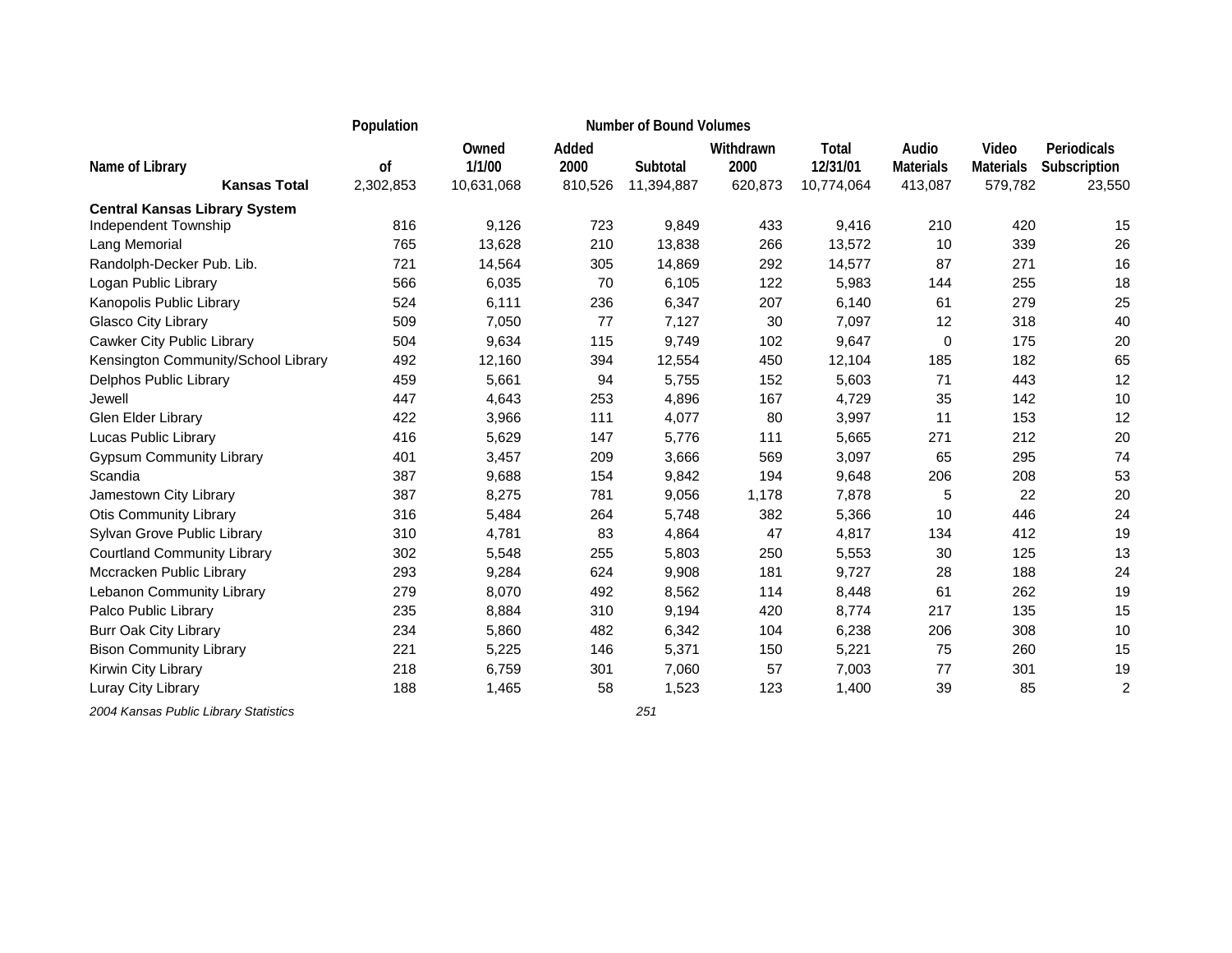|                                                              | Population      |                               |                          | <b>Number of Bound Volumes</b> |                              |                                        |                                      |                                      |                                       |
|--------------------------------------------------------------|-----------------|-------------------------------|--------------------------|--------------------------------|------------------------------|----------------------------------------|--------------------------------------|--------------------------------------|---------------------------------------|
| Name of Library<br><b>Kansas Total</b>                       | 0f<br>2,302,853 | Owned<br>1/1/00<br>10,631,068 | Added<br>2000<br>810,526 | Subtotal<br>11,394,887         | Withdrawn<br>2000<br>620,873 | <b>Total</b><br>12/31/01<br>10,774,064 | Audio<br><b>Materials</b><br>413,087 | Video<br><b>Materials</b><br>579,782 | Periodicals<br>Subscription<br>23,550 |
|                                                              |                 |                               |                          |                                |                              |                                        |                                      |                                      |                                       |
| <b>Central Kansas Library System</b><br>Independent Township | 816             | 9,126                         | 723                      | 9,849                          | 433                          | 9,416                                  | 210                                  | 420                                  | 15                                    |
| Lang Memorial                                                | 765             | 13,628                        | 210                      | 13,838                         | 266                          | 13,572                                 | 10                                   | 339                                  | 26                                    |
| Randolph-Decker Pub. Lib.                                    | 721             | 14,564                        | 305                      | 14,869                         | 292                          | 14,577                                 | 87                                   | 271                                  | 16                                    |
| Logan Public Library                                         | 566             | 6,035                         | 70                       | 6,105                          | 122                          | 5,983                                  | 144                                  | 255                                  | 18                                    |
| Kanopolis Public Library                                     | 524             | 6,111                         | 236                      | 6,347                          | 207                          | 6,140                                  | 61                                   | 279                                  | 25                                    |
| Glasco City Library                                          | 509             | 7,050                         | 77                       | 7,127                          | 30                           | 7,097                                  | 12                                   | 318                                  | 40                                    |
| Cawker City Public Library                                   | 504             | 9,634                         | 115                      | 9,749                          | 102                          | 9,647                                  | 0                                    | 175                                  | 20                                    |
| Kensington Community/School Library                          | 492             | 12,160                        | 394                      | 12,554                         | 450                          | 12,104                                 | 185                                  | 182                                  | 65                                    |
| Delphos Public Library                                       | 459             | 5,661                         | 94                       | 5,755                          | 152                          | 5,603                                  | 71                                   | 443                                  | 12                                    |
| Jewell                                                       | 447             | 4,643                         | 253                      | 4,896                          | 167                          | 4,729                                  | 35                                   | 142                                  | 10                                    |
| Glen Elder Library                                           | 422             | 3,966                         | 111                      | 4,077                          | 80                           | 3,997                                  | 11                                   | 153                                  | 12                                    |
| Lucas Public Library                                         | 416             | 5,629                         | 147                      | 5,776                          | 111                          | 5,665                                  | 271                                  | 212                                  | 20                                    |
| <b>Gypsum Community Library</b>                              | 401             | 3,457                         | 209                      | 3,666                          | 569                          | 3,097                                  | 65                                   | 295                                  | 74                                    |
| Scandia                                                      | 387             | 9,688                         | 154                      | 9,842                          | 194                          | 9,648                                  | 206                                  | 208                                  | 53                                    |
| Jamestown City Library                                       | 387             | 8,275                         | 781                      | 9,056                          | 1,178                        | 7,878                                  | 5                                    | 22                                   | 20                                    |
| <b>Otis Community Library</b>                                | 316             | 5,484                         | 264                      | 5,748                          | 382                          | 5,366                                  | 10                                   | 446                                  | 24                                    |
| Sylvan Grove Public Library                                  | 310             | 4,781                         | 83                       | 4,864                          | 47                           | 4,817                                  | 134                                  | 412                                  | 19                                    |
| <b>Courtland Community Library</b>                           | 302             | 5,548                         | 255                      | 5,803                          | 250                          | 5,553                                  | 30                                   | 125                                  | 13                                    |
| Mccracken Public Library                                     | 293             | 9,284                         | 624                      | 9,908                          | 181                          | 9,727                                  | 28                                   | 188                                  | 24                                    |
| Lebanon Community Library                                    | 279             | 8,070                         | 492                      | 8,562                          | 114                          | 8,448                                  | 61                                   | 262                                  | 19                                    |
| Palco Public Library                                         | 235             | 8,884                         | 310                      | 9,194                          | 420                          | 8,774                                  | 217                                  | 135                                  | 15                                    |
| <b>Burr Oak City Library</b>                                 | 234             | 5,860                         | 482                      | 6,342                          | 104                          | 6,238                                  | 206                                  | 308                                  | 10                                    |
| <b>Bison Community Library</b>                               | 221             | 5,225                         | 146                      | 5,371                          | 150                          | 5,221                                  | 75                                   | 260                                  | 15                                    |
| Kirwin City Library                                          | 218             | 6,759                         | 301                      | 7,060                          | 57                           | 7,003                                  | 77                                   | 301                                  | 19                                    |
| Luray City Library                                           | 188             | 1,465                         | 58                       | 1,523                          | 123                          | 1,400                                  | 39                                   | 85                                   | $\overline{2}$                        |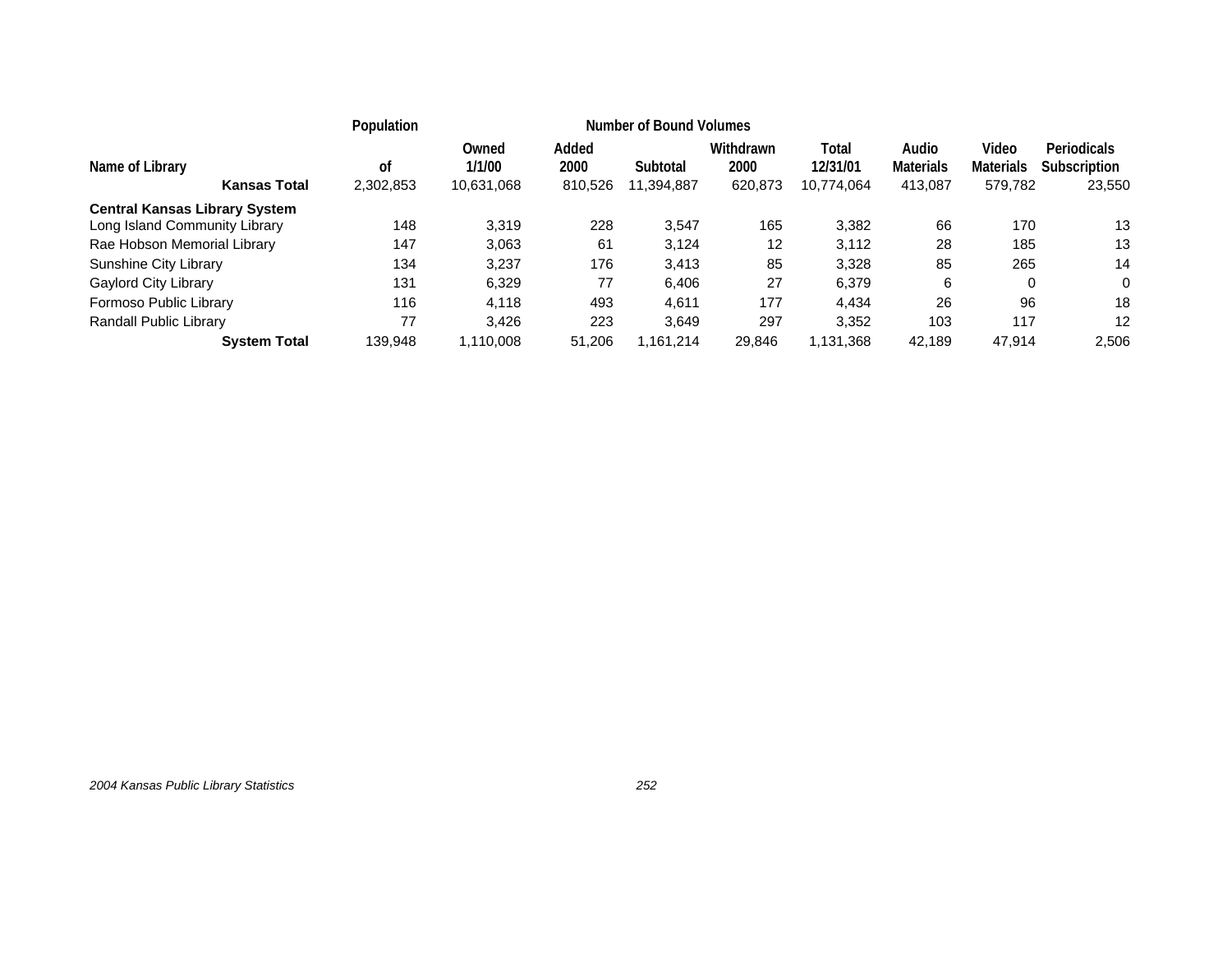|                                                                                |                     | Number of Bound Volumes<br>Population |                          |                        |                              |                                 |                                      |                                      |                                       |                   |
|--------------------------------------------------------------------------------|---------------------|---------------------------------------|--------------------------|------------------------|------------------------------|---------------------------------|--------------------------------------|--------------------------------------|---------------------------------------|-------------------|
| Name of Library<br><b>Kansas Total</b><br><b>Central Kansas Library System</b> | 0f<br>2,302,853     | Owned<br>1/1/00<br>10,631,068         | Added<br>2000<br>810,526 | Subtotal<br>11,394,887 | Withdrawn<br>2000<br>620,873 | Total<br>12/31/01<br>10,774,064 | Audio<br><b>Materials</b><br>413,087 | Video<br><b>Materials</b><br>579,782 | Periodicals<br>Subscription<br>23,550 |                   |
| Long Island Community Library                                                  |                     | 148                                   | 3.319                    | 228                    | 3,547                        | 165                             | 3,382                                | 66                                   | 170                                   | 13                |
| Rae Hobson Memorial Library                                                    |                     | 147                                   | 3,063                    | 61                     | 3,124                        | 12                              | 3,112                                | 28                                   | 185                                   | 13                |
| Sunshine City Library                                                          |                     | 134                                   | 3.237                    | 176                    | 3,413                        | 85                              | 3,328                                | 85                                   | 265                                   | 14                |
| Gaylord City Library                                                           |                     | 131                                   | 6,329                    | 77                     | 6,406                        | 27                              | 6,379                                | 6                                    | 0                                     | $\Omega$          |
| Formoso Public Library                                                         |                     | 116                                   | 4,118                    | 493                    | 4,611                        | 177                             | 4,434                                | 26                                   | 96                                    | 18                |
| Randall Public Library                                                         |                     | 77                                    | 3.426                    | 223                    | 3.649                        | 297                             | 3,352                                | 103                                  | 117                                   | $12 \overline{ }$ |
|                                                                                | <b>System Total</b> | 139,948                               | 1.110.008                | 51,206                 | 1,161,214                    | 29,846                          | 1,131,368                            | 42,189                               | 47.914                                | 2,506             |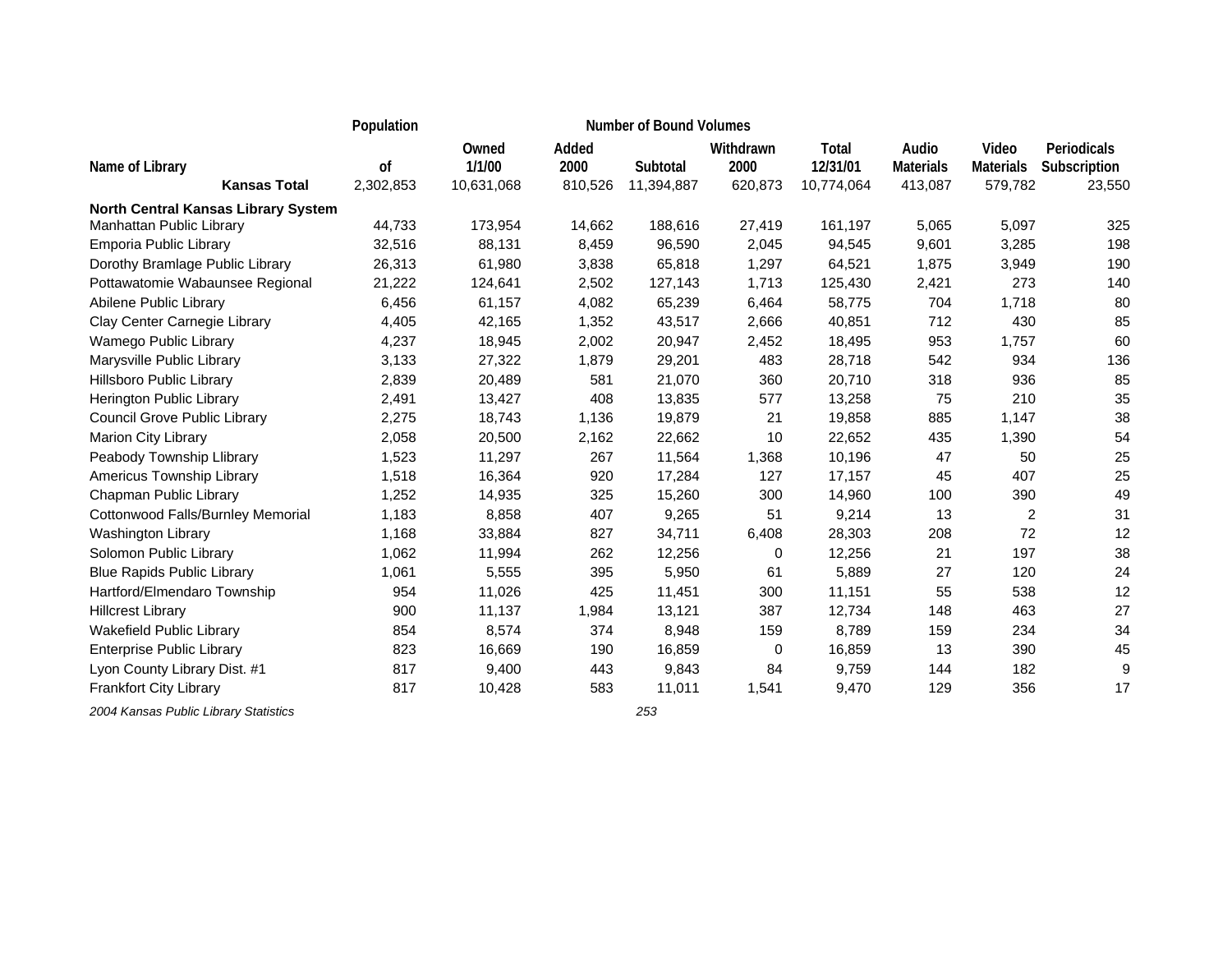|                                     | Population |                 |               | <b>Number of Bound Volumes</b> |                   |                   |                           |                           |                             |
|-------------------------------------|------------|-----------------|---------------|--------------------------------|-------------------|-------------------|---------------------------|---------------------------|-----------------------------|
| Name of Library                     | 0f         | Owned<br>1/1/00 | Added<br>2000 | Subtotal                       | Withdrawn<br>2000 | Total<br>12/31/01 | Audio<br><b>Materials</b> | Video<br><b>Materials</b> | Periodicals<br>Subscription |
| <b>Kansas Total</b>                 | 2,302,853  | 10,631,068      | 810,526       | 11,394,887                     | 620,873           | 10,774,064        | 413,087                   | 579,782                   | 23,550                      |
| North Central Kansas Library System |            |                 |               |                                |                   |                   |                           |                           |                             |
| Manhattan Public Library            | 44,733     | 173,954         | 14,662        | 188,616                        | 27,419            | 161,197           | 5,065                     | 5,097                     | 325                         |
| Emporia Public Library              | 32,516     | 88,131          | 8,459         | 96,590                         | 2,045             | 94,545            | 9,601                     | 3,285                     | 198                         |
| Dorothy Bramlage Public Library     | 26,313     | 61,980          | 3,838         | 65,818                         | 1,297             | 64,521            | 1,875                     | 3,949                     | 190                         |
| Pottawatomie Wabaunsee Regional     | 21,222     | 124,641         | 2,502         | 127,143                        | 1,713             | 125,430           | 2,421                     | 273                       | 140                         |
| Abilene Public Library              | 6,456      | 61,157          | 4,082         | 65,239                         | 6,464             | 58,775            | 704                       | 1,718                     | 80                          |
| Clay Center Carnegie Library        | 4,405      | 42,165          | 1,352         | 43,517                         | 2,666             | 40,851            | 712                       | 430                       | 85                          |
| Wamego Public Library               | 4,237      | 18,945          | 2,002         | 20,947                         | 2,452             | 18,495            | 953                       | 1,757                     | 60                          |
| Marysville Public Library           | 3,133      | 27,322          | 1,879         | 29,201                         | 483               | 28,718            | 542                       | 934                       | 136                         |
| Hillsboro Public Library            | 2,839      | 20,489          | 581           | 21,070                         | 360               | 20,710            | 318                       | 936                       | 85                          |
| Herington Public Library            | 2,491      | 13,427          | 408           | 13,835                         | 577               | 13,258            | 75                        | 210                       | 35                          |
| Council Grove Public Library        | 2,275      | 18,743          | 1,136         | 19,879                         | 21                | 19,858            | 885                       | 1,147                     | 38                          |
| Marion City Library                 | 2,058      | 20,500          | 2,162         | 22,662                         | 10                | 22,652            | 435                       | 1,390                     | 54                          |
| Peabody Township Llibrary           | 1,523      | 11,297          | 267           | 11,564                         | 1,368             | 10,196            | 47                        | 50                        | 25                          |
| Americus Township Library           | 1,518      | 16,364          | 920           | 17,284                         | 127               | 17,157            | 45                        | 407                       | 25                          |
| Chapman Public Library              | 1,252      | 14,935          | 325           | 15,260                         | 300               | 14,960            | 100                       | 390                       | 49                          |
| Cottonwood Falls/Burnley Memorial   | 1,183      | 8,858           | 407           | 9,265                          | 51                | 9,214             | 13                        | $\overline{c}$            | 31                          |
| Washington Library                  | 1,168      | 33,884          | 827           | 34,711                         | 6,408             | 28,303            | 208                       | 72                        | 12                          |
| Solomon Public Library              | 1,062      | 11,994          | 262           | 12,256                         | 0                 | 12,256            | 21                        | 197                       | 38                          |
| <b>Blue Rapids Public Library</b>   | 1,061      | 5,555           | 395           | 5,950                          | 61                | 5,889             | 27                        | 120                       | 24                          |
| Hartford/Elmendaro Township         | 954        | 11,026          | 425           | 11,451                         | 300               | 11,151            | 55                        | 538                       | 12                          |
| <b>Hillcrest Library</b>            | 900        | 11,137          | 1,984         | 13,121                         | 387               | 12,734            | 148                       | 463                       | 27                          |
| Wakefield Public Library            | 854        | 8,574           | 374           | 8,948                          | 159               | 8,789             | 159                       | 234                       | 34                          |
| <b>Enterprise Public Library</b>    | 823        | 16,669          | 190           | 16,859                         | 0                 | 16,859            | 13                        | 390                       | 45                          |
| Lyon County Library Dist. #1        | 817        | 9,400           | 443           | 9,843                          | 84                | 9,759             | 144                       | 182                       | 9                           |
| <b>Frankfort City Library</b>       | 817        | 10,428          | 583           | 11,011                         | 1,541             | 9,470             | 129                       | 356                       | 17                          |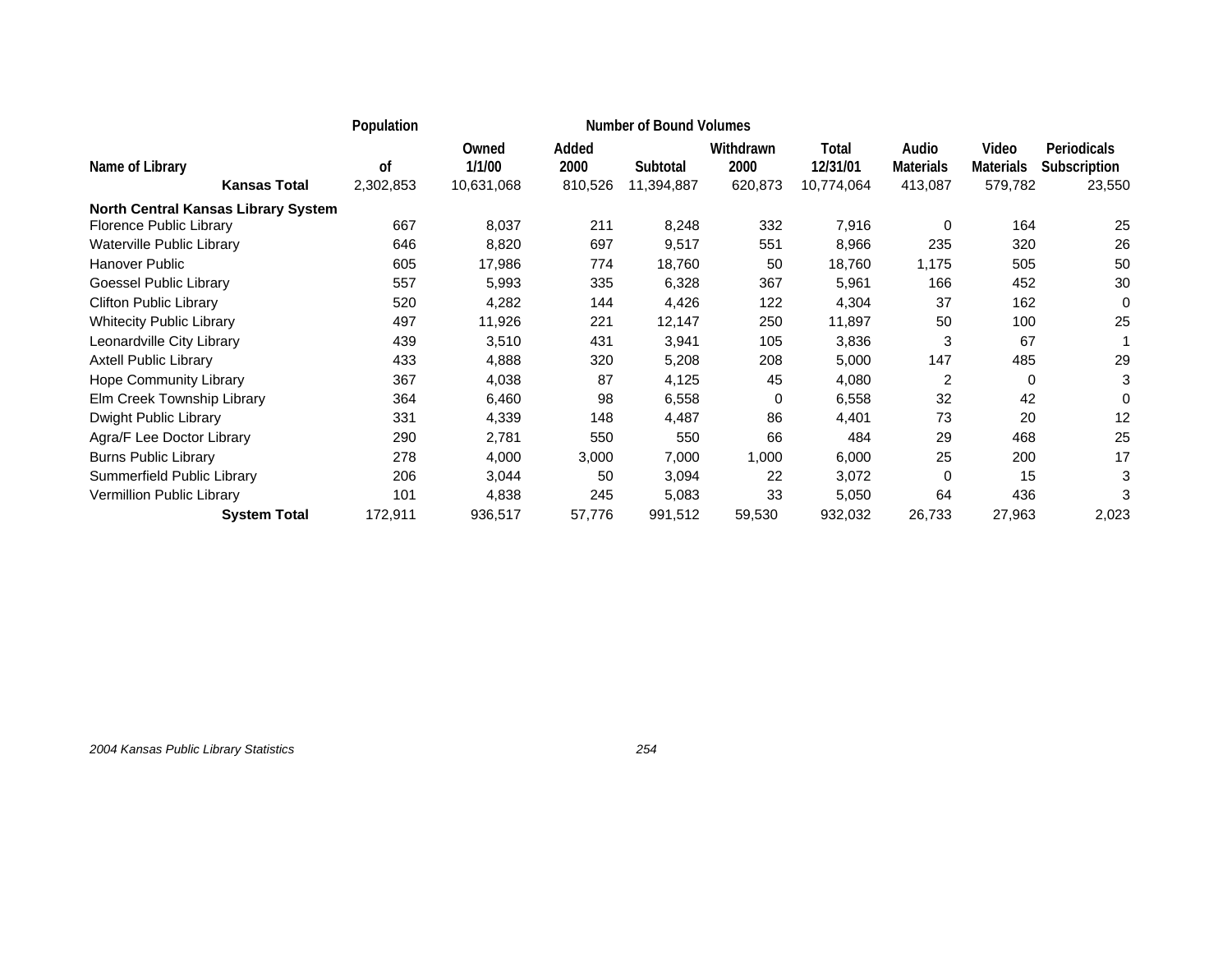|                                        | Population      |                               |                          |                        |                              |                                 |                                      |                                      |                                              |
|----------------------------------------|-----------------|-------------------------------|--------------------------|------------------------|------------------------------|---------------------------------|--------------------------------------|--------------------------------------|----------------------------------------------|
| Name of Library<br><b>Kansas Total</b> | 0f<br>2,302,853 | Owned<br>1/1/00<br>10,631,068 | Added<br>2000<br>810,526 | Subtotal<br>11,394,887 | Withdrawn<br>2000<br>620,873 | Total<br>12/31/01<br>10,774,064 | Audio<br><b>Materials</b><br>413,087 | Video<br><b>Materials</b><br>579,782 | <b>Periodicals</b><br>Subscription<br>23,550 |
| North Central Kansas Library System    |                 |                               |                          |                        |                              |                                 |                                      |                                      |                                              |
| Florence Public Library                | 667             | 8,037                         | 211                      | 8,248                  | 332                          | 7,916                           | 0                                    | 164                                  | 25                                           |
| Waterville Public Library              | 646             | 8,820                         | 697                      | 9,517                  | 551                          | 8,966                           | 235                                  | 320                                  | 26                                           |
| Hanover Public                         | 605             | 17,986                        | 774                      | 18,760                 | 50                           | 18,760                          | 1,175                                | 505                                  | 50                                           |
| Goessel Public Library                 | 557             | 5,993                         | 335                      | 6,328                  | 367                          | 5,961                           | 166                                  | 452                                  | 30                                           |
| <b>Clifton Public Library</b>          | 520             | 4,282                         | 144                      | 4,426                  | 122                          | 4,304                           | 37                                   | 162                                  | 0                                            |
| <b>Whitecity Public Library</b>        | 497             | 11,926                        | 221                      | 12,147                 | 250                          | 11,897                          | 50                                   | 100                                  | 25                                           |
| Leonardville City Library              | 439             | 3,510                         | 431                      | 3,941                  | 105                          | 3,836                           | 3                                    | 67                                   |                                              |
| <b>Axtell Public Library</b>           | 433             | 4,888                         | 320                      | 5,208                  | 208                          | 5,000                           | 147                                  | 485                                  | 29                                           |
| <b>Hope Community Library</b>          | 367             | 4,038                         | 87                       | 4,125                  | 45                           | 4,080                           | $\overline{2}$                       | 0                                    | 3                                            |
| Elm Creek Township Library             | 364             | 6,460                         | 98                       | 6,558                  | 0                            | 6,558                           | 32                                   | 42                                   | 0                                            |
| Dwight Public Library                  | 331             | 4,339                         | 148                      | 4,487                  | 86                           | 4,401                           | 73                                   | 20                                   | 12                                           |
| Agra/F Lee Doctor Library              | 290             | 2,781                         | 550                      | 550                    | 66                           | 484                             | 29                                   | 468                                  | 25                                           |
| <b>Burns Public Library</b>            | 278             | 4,000                         | 3,000                    | 7,000                  | 1,000                        | 6,000                           | 25                                   | 200                                  | 17                                           |
| Summerfield Public Library             | 206             | 3,044                         | 50                       | 3,094                  | 22                           | 3,072                           | $\Omega$                             | 15                                   | 3                                            |
| Vermillion Public Library              | 101             | 4,838                         | 245                      | 5,083                  | 33                           | 5,050                           | 64                                   | 436                                  |                                              |
| <b>System Total</b>                    | 172,911         | 936,517                       | 57,776                   | 991,512                | 59,530                       | 932,032                         | 26,733                               | 27,963                               | 2,023                                        |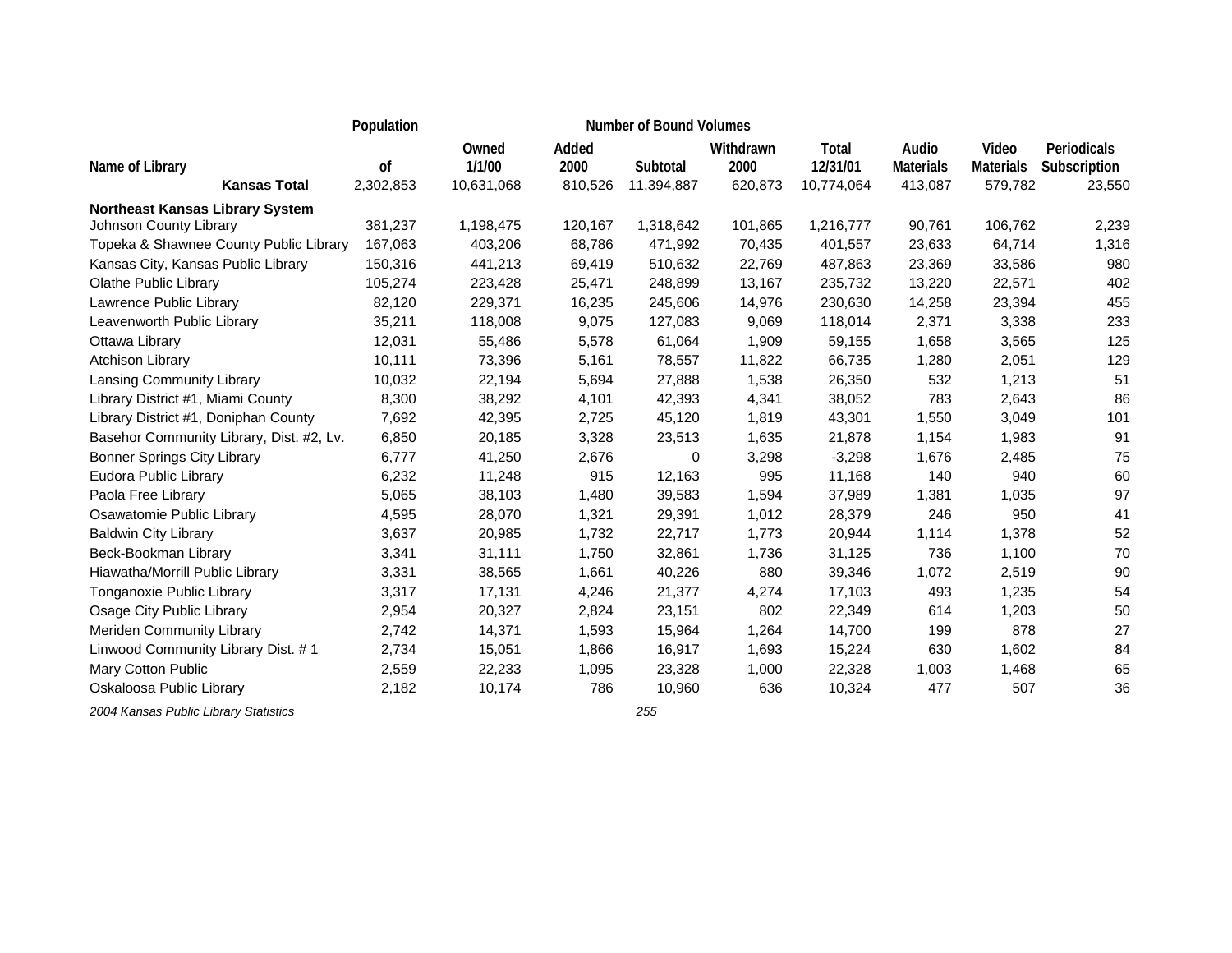|                                          | Population    |                 |               | <b>Number of Bound Volumes</b> |                   |                   |                           |                           |                             |
|------------------------------------------|---------------|-----------------|---------------|--------------------------------|-------------------|-------------------|---------------------------|---------------------------|-----------------------------|
| Name of Library                          | <sub>of</sub> | Owned<br>1/1/00 | Added<br>2000 | Subtotal                       | Withdrawn<br>2000 | Total<br>12/31/01 | Audio<br><b>Materials</b> | Video<br><b>Materials</b> | Periodicals<br>Subscription |
| <b>Kansas Total</b>                      | 2,302,853     | 10,631,068      | 810,526       | 11,394,887                     | 620,873           | 10,774,064        | 413,087                   | 579,782                   | 23,550                      |
| <b>Northeast Kansas Library System</b>   |               |                 |               |                                |                   |                   |                           |                           |                             |
| Johnson County Library                   | 381,237       | 1,198,475       | 120,167       | 1,318,642                      | 101,865           | 1,216,777         | 90,761                    | 106,762                   | 2,239                       |
| Topeka & Shawnee County Public Library   | 167,063       | 403,206         | 68,786        | 471,992                        | 70,435            | 401,557           | 23,633                    | 64,714                    | 1,316                       |
| Kansas City, Kansas Public Library       | 150,316       | 441,213         | 69,419        | 510,632                        | 22,769            | 487,863           | 23,369                    | 33,586                    | 980                         |
| Olathe Public Library                    | 105,274       | 223,428         | 25,471        | 248,899                        | 13,167            | 235,732           | 13,220                    | 22,571                    | 402                         |
| Lawrence Public Library                  | 82,120        | 229,371         | 16,235        | 245,606                        | 14,976            | 230,630           | 14,258                    | 23,394                    | 455                         |
| Leavenworth Public Library               | 35,211        | 118,008         | 9,075         | 127,083                        | 9,069             | 118,014           | 2,371                     | 3,338                     | 233                         |
| Ottawa Library                           | 12,031        | 55,486          | 5,578         | 61,064                         | 1,909             | 59,155            | 1,658                     | 3,565                     | 125                         |
| <b>Atchison Library</b>                  | 10,111        | 73,396          | 5,161         | 78,557                         | 11,822            | 66,735            | 1,280                     | 2,051                     | 129                         |
| Lansing Community Library                | 10,032        | 22,194          | 5,694         | 27,888                         | 1,538             | 26,350            | 532                       | 1,213                     | 51                          |
| Library District #1, Miami County        | 8,300         | 38,292          | 4,101         | 42,393                         | 4,341             | 38,052            | 783                       | 2,643                     | 86                          |
| Library District #1, Doniphan County     | 7,692         | 42,395          | 2,725         | 45,120                         | 1,819             | 43,301            | 1,550                     | 3,049                     | 101                         |
| Basehor Community Library, Dist. #2, Lv. | 6,850         | 20,185          | 3,328         | 23,513                         | 1,635             | 21,878            | 1,154                     | 1,983                     | 91                          |
| <b>Bonner Springs City Library</b>       | 6,777         | 41,250          | 2,676         | $\Omega$                       | 3,298             | $-3,298$          | 1,676                     | 2,485                     | 75                          |
| Eudora Public Library                    | 6,232         | 11,248          | 915           | 12,163                         | 995               | 11,168            | 140                       | 940                       | 60                          |
| Paola Free Library                       | 5,065         | 38,103          | 1,480         | 39,583                         | 1,594             | 37,989            | 1,381                     | 1,035                     | 97                          |
| Osawatomie Public Library                | 4,595         | 28,070          | 1,321         | 29,391                         | 1,012             | 28,379            | 246                       | 950                       | 41                          |
| <b>Baldwin City Library</b>              | 3,637         | 20,985          | 1,732         | 22,717                         | 1,773             | 20,944            | 1,114                     | 1,378                     | 52                          |
| Beck-Bookman Library                     | 3,341         | 31,111          | 1,750         | 32,861                         | 1,736             | 31,125            | 736                       | 1,100                     | 70                          |
| Hiawatha/Morrill Public Library          | 3,331         | 38,565          | 1,661         | 40,226                         | 880               | 39,346            | 1,072                     | 2,519                     | 90                          |
| Tonganoxie Public Library                | 3,317         | 17,131          | 4,246         | 21,377                         | 4,274             | 17,103            | 493                       | 1,235                     | 54                          |
| Osage City Public Library                | 2,954         | 20,327          | 2,824         | 23,151                         | 802               | 22,349            | 614                       | 1,203                     | 50                          |
| Meriden Community Library                | 2,742         | 14,371          | 1,593         | 15,964                         | 1,264             | 14,700            | 199                       | 878                       | 27                          |
| Linwood Community Library Dist. #1       | 2,734         | 15,051          | 1,866         | 16,917                         | 1,693             | 15,224            | 630                       | 1,602                     | 84                          |
| Mary Cotton Public                       | 2,559         | 22,233          | 1,095         | 23,328                         | 1,000             | 22,328            | 1,003                     | 1,468                     | 65                          |
| Oskaloosa Public Library                 | 2,182         | 10,174          | 786           | 10,960                         | 636               | 10,324            | 477                       | 507                       | 36                          |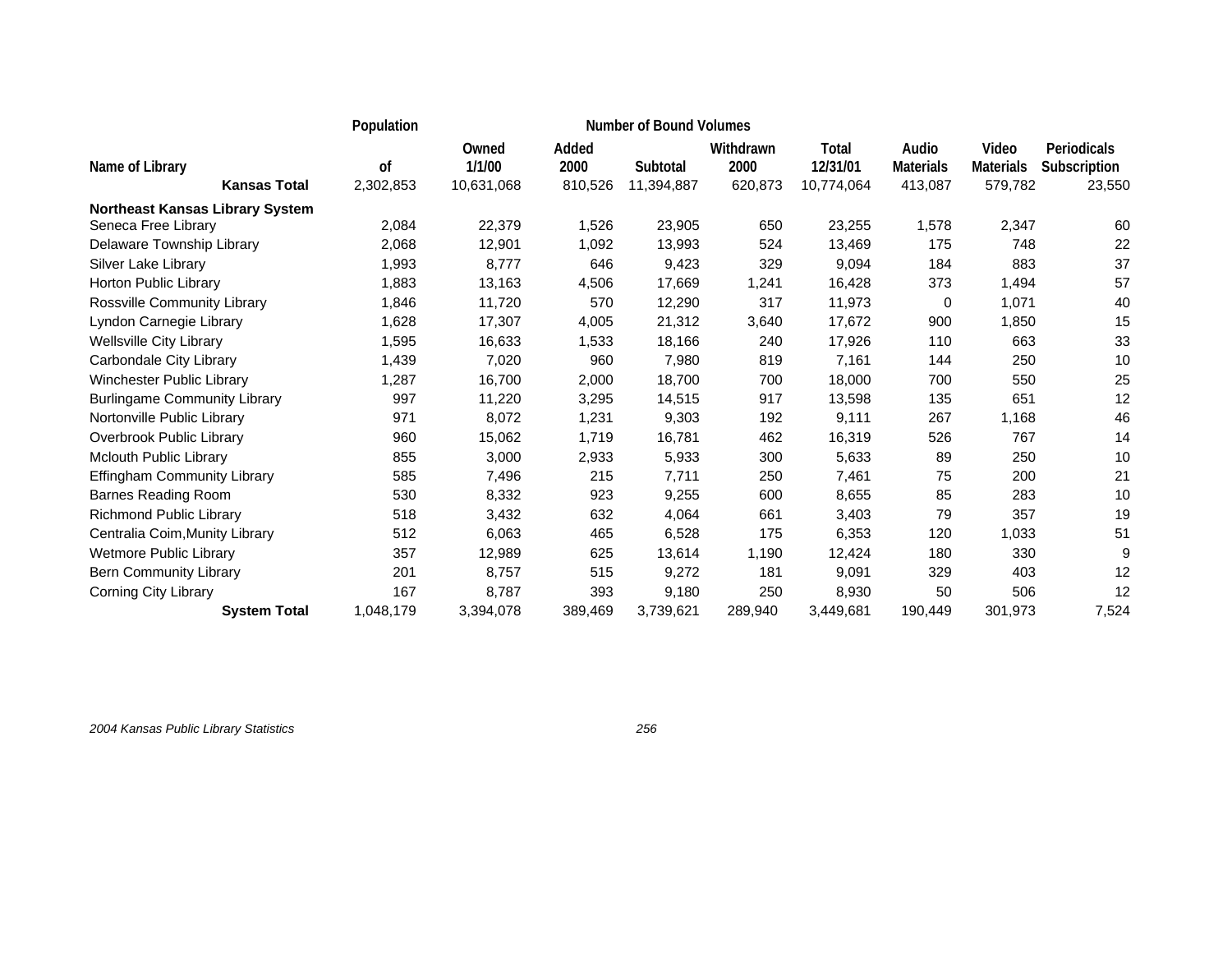|                                        | Population |                 | <b>Number of Bound Volumes</b> |            |                   |                   |                           |                           |                             |
|----------------------------------------|------------|-----------------|--------------------------------|------------|-------------------|-------------------|---------------------------|---------------------------|-----------------------------|
| Name of Library                        | οf         | Owned<br>1/1/00 | Added<br>2000                  | Subtotal   | Withdrawn<br>2000 | Total<br>12/31/01 | Audio<br><b>Materials</b> | Video<br><b>Materials</b> | Periodicals<br>Subscription |
| <b>Kansas Total</b>                    | 2,302,853  | 10,631,068      | 810,526                        | 11,394,887 | 620,873           | 10,774,064        | 413,087                   | 579,782                   | 23,550                      |
| <b>Northeast Kansas Library System</b> |            |                 |                                |            |                   |                   |                           |                           |                             |
| Seneca Free Library                    | 2,084      | 22,379          | 1,526                          | 23,905     | 650               | 23,255            | 1,578                     | 2,347                     | 60                          |
| Delaware Township Library              | 2,068      | 12,901          | 1,092                          | 13,993     | 524               | 13,469            | 175                       | 748                       | 22                          |
| Silver Lake Library                    | 1,993      | 8,777           | 646                            | 9,423      | 329               | 9,094             | 184                       | 883                       | 37                          |
| Horton Public Library                  | 1,883      | 13,163          | 4,506                          | 17,669     | 1,241             | 16,428            | 373                       | 1,494                     | 57                          |
| Rossville Community Library            | 1,846      | 11,720          | 570                            | 12,290     | 317               | 11,973            | 0                         | 1,071                     | 40                          |
| Lyndon Carnegie Library                | 1,628      | 17,307          | 4,005                          | 21,312     | 3,640             | 17,672            | 900                       | 1,850                     | 15                          |
| <b>Wellsville City Library</b>         | 1,595      | 16,633          | 1,533                          | 18,166     | 240               | 17,926            | 110                       | 663                       | 33                          |
| Carbondale City Library                | 1,439      | 7,020           | 960                            | 7,980      | 819               | 7,161             | 144                       | 250                       | 10                          |
| <b>Winchester Public Library</b>       | 1,287      | 16,700          | 2,000                          | 18,700     | 700               | 18,000            | 700                       | 550                       | 25                          |
| <b>Burlingame Community Library</b>    | 997        | 11,220          | 3,295                          | 14,515     | 917               | 13,598            | 135                       | 651                       | 12                          |
| Nortonville Public Library             | 971        | 8,072           | 1,231                          | 9,303      | 192               | 9,111             | 267                       | 1,168                     | 46                          |
| Overbrook Public Library               | 960        | 15,062          | 1,719                          | 16,781     | 462               | 16,319            | 526                       | 767                       | 14                          |
| Mclouth Public Library                 | 855        | 3,000           | 2,933                          | 5,933      | 300               | 5,633             | 89                        | 250                       | 10                          |
| Effingham Community Library            | 585        | 7,496           | 215                            | 7,711      | 250               | 7,461             | 75                        | 200                       | 21                          |
| <b>Barnes Reading Room</b>             | 530        | 8,332           | 923                            | 9,255      | 600               | 8,655             | 85                        | 283                       | 10                          |
| Richmond Public Library                | 518        | 3,432           | 632                            | 4,064      | 661               | 3,403             | 79                        | 357                       | 19                          |
| Centralia Coim, Munity Library         | 512        | 6,063           | 465                            | 6,528      | 175               | 6,353             | 120                       | 1,033                     | 51                          |
| Wetmore Public Library                 | 357        | 12,989          | 625                            | 13,614     | 1,190             | 12,424            | 180                       | 330                       | 9                           |
| <b>Bern Community Library</b>          | 201        | 8,757           | 515                            | 9,272      | 181               | 9,091             | 329                       | 403                       | 12                          |
| <b>Corning City Library</b>            | 167        | 8,787           | 393                            | 9,180      | 250               | 8,930             | 50                        | 506                       | 12                          |
| <b>System Total</b>                    | 1,048,179  | 3,394,078       | 389,469                        | 3,739,621  | 289,940           | 3,449,681         | 190,449                   | 301,973                   | 7,524                       |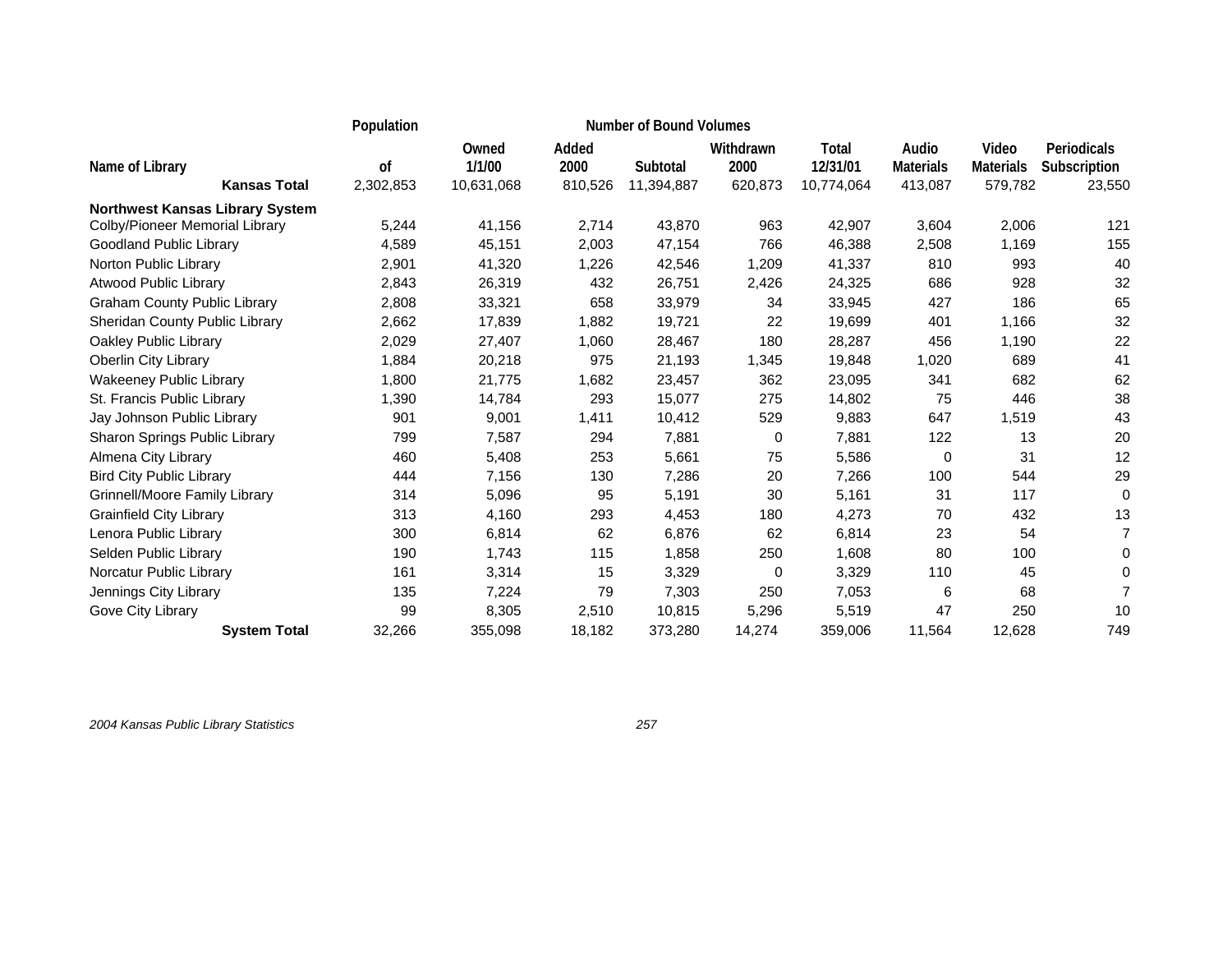|                                        | Population      |                               | <b>Number of Bound Volumes</b> |                        |                              |                                 |                                      |                                      |                                       |
|----------------------------------------|-----------------|-------------------------------|--------------------------------|------------------------|------------------------------|---------------------------------|--------------------------------------|--------------------------------------|---------------------------------------|
| Name of Library<br><b>Kansas Total</b> | οf<br>2,302,853 | Owned<br>1/1/00<br>10,631,068 | Added<br>2000<br>810,526       | Subtotal<br>11,394,887 | Withdrawn<br>2000<br>620,873 | Total<br>12/31/01<br>10,774,064 | Audio<br><b>Materials</b><br>413,087 | Video<br><b>Materials</b><br>579,782 | Periodicals<br>Subscription<br>23,550 |
| <b>Northwest Kansas Library System</b> |                 |                               |                                |                        |                              |                                 |                                      |                                      |                                       |
| Colby/Pioneer Memorial Library         | 5,244           | 41,156                        | 2,714                          | 43,870                 | 963                          | 42,907                          | 3,604                                | 2,006                                | 121                                   |
| Goodland Public Library                | 4,589           | 45,151                        | 2,003                          | 47,154                 | 766                          | 46,388                          | 2,508                                | 1,169                                | 155                                   |
| Norton Public Library                  | 2,901           | 41,320                        | 1,226                          | 42,546                 | 1,209                        | 41,337                          | 810                                  | 993                                  | 40                                    |
| Atwood Public Library                  | 2,843           | 26,319                        | 432                            | 26,751                 | 2,426                        | 24,325                          | 686                                  | 928                                  | 32                                    |
| <b>Graham County Public Library</b>    | 2,808           | 33,321                        | 658                            | 33,979                 | 34                           | 33,945                          | 427                                  | 186                                  | 65                                    |
| Sheridan County Public Library         | 2,662           | 17,839                        | 1,882                          | 19,721                 | 22                           | 19,699                          | 401                                  | 1,166                                | 32                                    |
| Oakley Public Library                  | 2,029           | 27,407                        | 1,060                          | 28,467                 | 180                          | 28,287                          | 456                                  | 1,190                                | 22                                    |
| Oberlin City Library                   | 1,884           | 20,218                        | 975                            | 21,193                 | 1,345                        | 19,848                          | 1,020                                | 689                                  | 41                                    |
| <b>Wakeeney Public Library</b>         | 1,800           | 21,775                        | 1,682                          | 23,457                 | 362                          | 23,095                          | 341                                  | 682                                  | 62                                    |
| St. Francis Public Library             | 1,390           | 14,784                        | 293                            | 15,077                 | 275                          | 14,802                          | 75                                   | 446                                  | 38                                    |
| Jay Johnson Public Library             | 901             | 9,001                         | 1,411                          | 10,412                 | 529                          | 9,883                           | 647                                  | 1,519                                | 43                                    |
| Sharon Springs Public Library          | 799             | 7,587                         | 294                            | 7,881                  | 0                            | 7,881                           | 122                                  | 13                                   | 20                                    |
| Almena City Library                    | 460             | 5,408                         | 253                            | 5,661                  | 75                           | 5,586                           | 0                                    | 31                                   | 12                                    |
| <b>Bird City Public Library</b>        | 444             | 7,156                         | 130                            | 7,286                  | 20                           | 7,266                           | 100                                  | 544                                  | 29                                    |
| Grinnell/Moore Family Library          | 314             | 5,096                         | 95                             | 5,191                  | 30                           | 5,161                           | 31                                   | 117                                  | 0                                     |
| <b>Grainfield City Library</b>         | 313             | 4,160                         | 293                            | 4,453                  | 180                          | 4,273                           | 70                                   | 432                                  | 13                                    |
| Lenora Public Library                  | 300             | 6,814                         | 62                             | 6,876                  | 62                           | 6,814                           | 23                                   | 54                                   | $\overline{7}$                        |
| Selden Public Library                  | 190             | 1,743                         | 115                            | 1,858                  | 250                          | 1,608                           | 80                                   | 100                                  | 0                                     |
| Norcatur Public Library                | 161             | 3,314                         | 15                             | 3,329                  | 0                            | 3,329                           | 110                                  | 45                                   | 0                                     |
| Jennings City Library                  | 135             | 7,224                         | 79                             | 7,303                  | 250                          | 7,053                           | 6                                    | 68                                   | $\overline{7}$                        |
| Gove City Library                      | 99              | 8,305                         | 2,510                          | 10,815                 | 5,296                        | 5,519                           | 47                                   | 250                                  | 10                                    |
| <b>System Total</b>                    | 32,266          | 355,098                       | 18,182                         | 373,280                | 14,274                       | 359,006                         | 11,564                               | 12,628                               | 749                                   |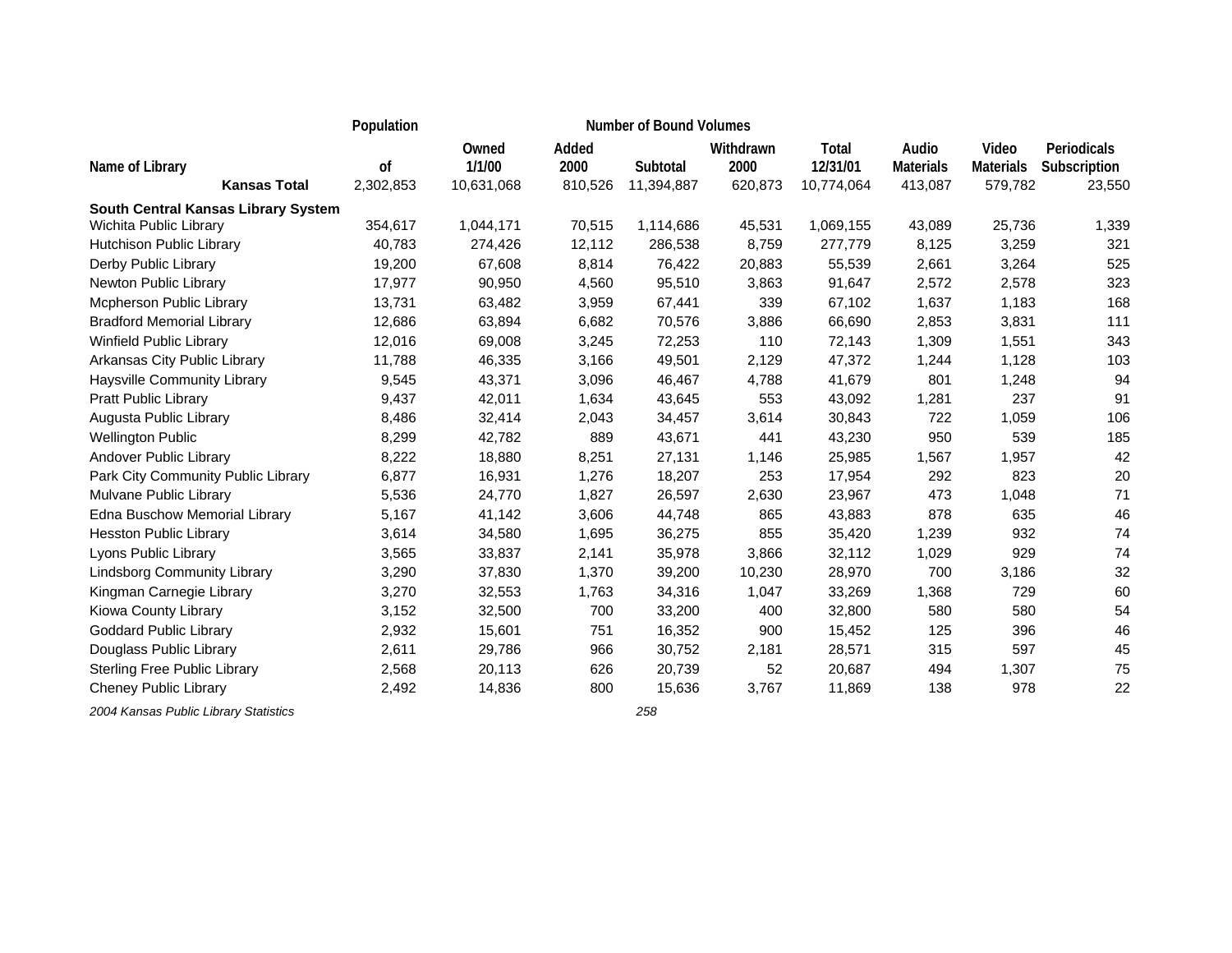|                                                               | Population    |                 | <b>Number of Bound Volumes</b> |            |                   |                   |                           |                           |                             |
|---------------------------------------------------------------|---------------|-----------------|--------------------------------|------------|-------------------|-------------------|---------------------------|---------------------------|-----------------------------|
| Name of Library                                               | <sub>of</sub> | Owned<br>1/1/00 | Added<br>2000                  | Subtotal   | Withdrawn<br>2000 | Total<br>12/31/01 | Audio<br><b>Materials</b> | Video<br><b>Materials</b> | Periodicals<br>Subscription |
| <b>Kansas Total</b>                                           | 2,302,853     | 10,631,068      | 810,526                        | 11,394,887 | 620,873           | 10,774,064        | 413,087                   | 579,782                   | 23,550                      |
| South Central Kansas Library System<br>Wichita Public Library | 354,617       | 1,044,171       | 70,515                         | 1,114,686  | 45,531            | 1,069,155         | 43,089                    | 25,736                    | 1,339                       |
| Hutchison Public Library                                      | 40.783        | 274,426         | 12,112                         | 286,538    | 8,759             | 277,779           | 8,125                     | 3,259                     | 321                         |
| Derby Public Library                                          | 19,200        | 67,608          | 8,814                          | 76,422     | 20,883            | 55,539            | 2,661                     | 3,264                     | 525                         |
| Newton Public Library                                         | 17,977        | 90,950          | 4,560                          | 95,510     | 3,863             | 91,647            | 2,572                     | 2,578                     | 323                         |
| Mcpherson Public Library                                      | 13,731        | 63,482          | 3,959                          | 67,441     | 339               | 67,102            | 1,637                     | 1,183                     | 168                         |
| <b>Bradford Memorial Library</b>                              | 12,686        | 63,894          | 6,682                          | 70,576     | 3,886             | 66,690            | 2,853                     | 3,831                     | 111                         |
| <b>Winfield Public Library</b>                                | 12,016        | 69,008          | 3,245                          | 72,253     | 110               | 72,143            | 1,309                     | 1,551                     | 343                         |
| Arkansas City Public Library                                  | 11,788        | 46,335          | 3,166                          | 49,501     | 2,129             | 47,372            | 1,244                     | 1,128                     | 103                         |
| <b>Haysville Community Library</b>                            | 9,545         | 43,371          | 3,096                          | 46,467     | 4,788             | 41,679            | 801                       | 1,248                     | 94                          |
| Pratt Public Library                                          | 9,437         | 42,011          | 1,634                          | 43,645     | 553               | 43,092            | 1,281                     | 237                       | 91                          |
| Augusta Public Library                                        | 8,486         | 32,414          | 2,043                          | 34,457     | 3,614             | 30,843            | 722                       | 1,059                     | 106                         |
| <b>Wellington Public</b>                                      | 8,299         | 42,782          | 889                            | 43,671     | 441               | 43,230            | 950                       | 539                       | 185                         |
| Andover Public Library                                        | 8,222         | 18,880          | 8,251                          | 27,131     | 1,146             | 25,985            | 1,567                     | 1,957                     | 42                          |
| Park City Community Public Library                            | 6,877         | 16,931          | 1,276                          | 18,207     | 253               | 17,954            | 292                       | 823                       | 20                          |
| Mulvane Public Library                                        | 5,536         | 24,770          | 1,827                          | 26,597     | 2,630             | 23,967            | 473                       | 1,048                     | 71                          |
| Edna Buschow Memorial Library                                 | 5,167         | 41,142          | 3,606                          | 44,748     | 865               | 43,883            | 878                       | 635                       | 46                          |
| <b>Hesston Public Library</b>                                 | 3,614         | 34,580          | 1,695                          | 36,275     | 855               | 35,420            | 1,239                     | 932                       | 74                          |
| Lyons Public Library                                          | 3,565         | 33,837          | 2,141                          | 35,978     | 3,866             | 32,112            | 1,029                     | 929                       | 74                          |
| <b>Lindsborg Community Library</b>                            | 3,290         | 37,830          | 1,370                          | 39,200     | 10,230            | 28,970            | 700                       | 3,186                     | 32                          |
| Kingman Carnegie Library                                      | 3,270         | 32,553          | 1,763                          | 34,316     | 1,047             | 33,269            | 1,368                     | 729                       | 60                          |
| Kiowa County Library                                          | 3,152         | 32,500          | 700                            | 33,200     | 400               | 32,800            | 580                       | 580                       | 54                          |
| <b>Goddard Public Library</b>                                 | 2,932         | 15,601          | 751                            | 16,352     | 900               | 15,452            | 125                       | 396                       | 46                          |
| Douglass Public Library                                       | 2,611         | 29,786          | 966                            | 30,752     | 2,181             | 28,571            | 315                       | 597                       | 45                          |
| <b>Sterling Free Public Library</b>                           | 2,568         | 20,113          | 626                            | 20,739     | 52                | 20,687            | 494                       | 1,307                     | 75                          |
| <b>Cheney Public Library</b>                                  | 2,492         | 14,836          | 800                            | 15,636     | 3,767             | 11,869            | 138                       | 978                       | 22                          |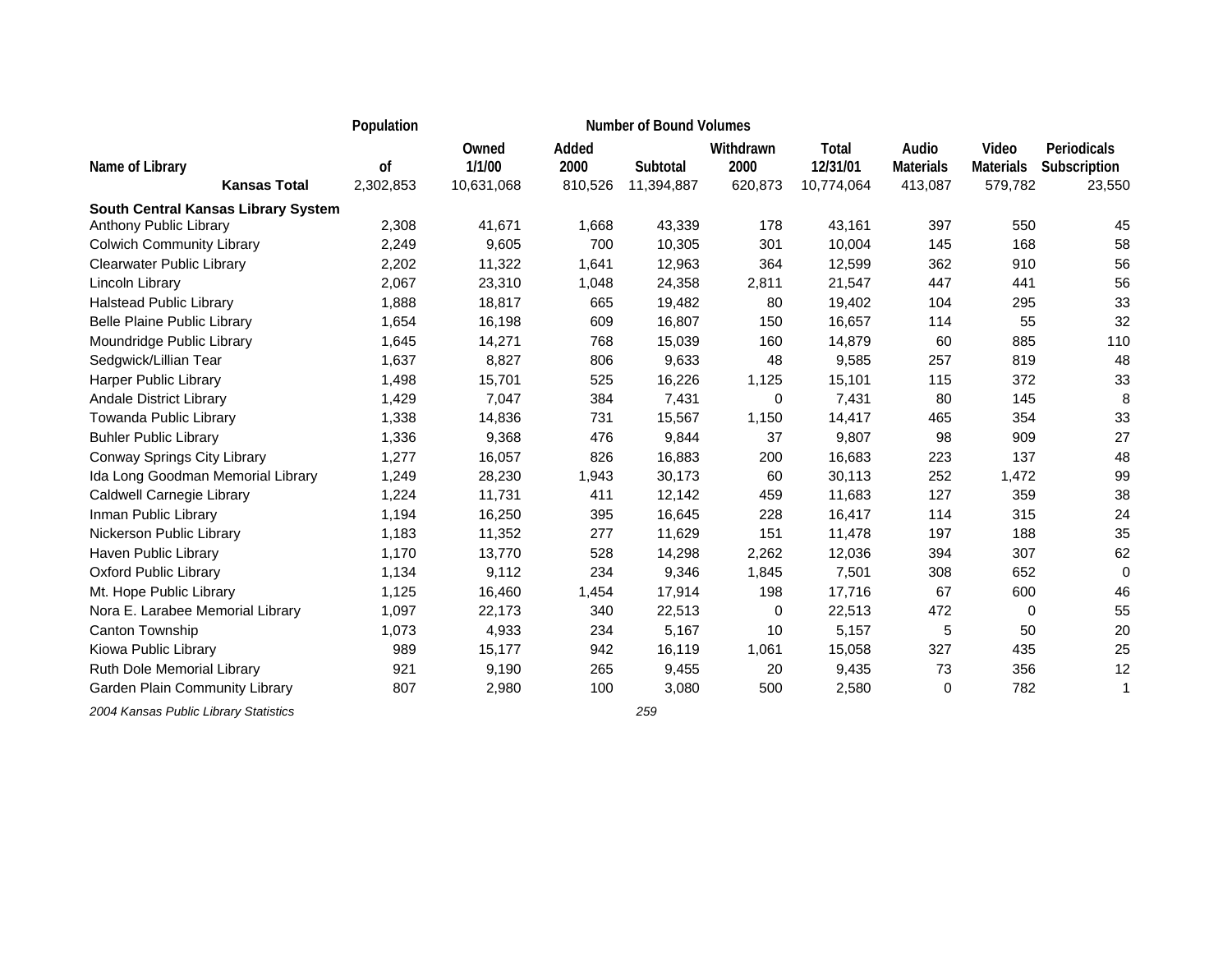|                                                               | Population      |                               |                          | <b>Number of Bound Volumes</b> |                              |                                 |                                      |                                      |                                       |
|---------------------------------------------------------------|-----------------|-------------------------------|--------------------------|--------------------------------|------------------------------|---------------------------------|--------------------------------------|--------------------------------------|---------------------------------------|
| Name of Library<br><b>Kansas Total</b>                        | 0f<br>2,302,853 | Owned<br>1/1/00<br>10,631,068 | Added<br>2000<br>810,526 | Subtotal<br>11,394,887         | Withdrawn<br>2000<br>620,873 | Total<br>12/31/01<br>10,774,064 | Audio<br><b>Materials</b><br>413,087 | Video<br><b>Materials</b><br>579,782 | Periodicals<br>Subscription<br>23,550 |
|                                                               |                 |                               |                          |                                |                              |                                 |                                      |                                      |                                       |
| South Central Kansas Library System<br>Anthony Public Library | 2,308           | 41,671                        | 1,668                    | 43,339                         | 178                          | 43,161                          | 397                                  | 550                                  | 45                                    |
| <b>Colwich Community Library</b>                              | 2,249           | 9,605                         | 700                      | 10,305                         | 301                          | 10,004                          | 145                                  | 168                                  | 58                                    |
| <b>Clearwater Public Library</b>                              | 2,202           | 11,322                        | 1,641                    | 12,963                         | 364                          | 12,599                          | 362                                  | 910                                  | 56                                    |
| Lincoln Library                                               | 2,067           | 23,310                        | 1,048                    | 24,358                         | 2,811                        | 21,547                          | 447                                  | 441                                  | 56                                    |
| <b>Halstead Public Library</b>                                | 1,888           | 18,817                        | 665                      | 19,482                         | 80                           | 19,402                          | 104                                  | 295                                  | 33                                    |
| <b>Belle Plaine Public Library</b>                            | 1,654           | 16,198                        | 609                      | 16,807                         | 150                          | 16,657                          | 114                                  | 55                                   | 32                                    |
| Moundridge Public Library                                     | 1,645           | 14,271                        | 768                      | 15,039                         | 160                          | 14,879                          | 60                                   | 885                                  | 110                                   |
| Sedgwick/Lillian Tear                                         | 1,637           | 8,827                         | 806                      | 9,633                          | 48                           | 9,585                           | 257                                  | 819                                  | 48                                    |
| Harper Public Library                                         | 1,498           | 15,701                        | 525                      | 16,226                         | 1,125                        | 15,101                          | 115                                  | 372                                  | 33                                    |
| Andale District Library                                       | 1,429           | 7,047                         | 384                      | 7,431                          | 0                            | 7,431                           | 80                                   | 145                                  | 8                                     |
| Towanda Public Library                                        | 1,338           | 14,836                        | 731                      | 15,567                         | 1,150                        | 14,417                          | 465                                  | 354                                  | 33                                    |
| <b>Buhler Public Library</b>                                  | 1,336           | 9,368                         | 476                      | 9,844                          | 37                           | 9,807                           | 98                                   | 909                                  | 27                                    |
| Conway Springs City Library                                   | 1,277           | 16,057                        | 826                      | 16,883                         | 200                          | 16,683                          | 223                                  | 137                                  | 48                                    |
| Ida Long Goodman Memorial Library                             | 1,249           | 28,230                        | 1,943                    | 30,173                         | 60                           | 30,113                          | 252                                  | 1,472                                | 99                                    |
| Caldwell Carnegie Library                                     | 1,224           | 11,731                        | 411                      | 12,142                         | 459                          | 11,683                          | 127                                  | 359                                  | 38                                    |
| Inman Public Library                                          | 1,194           | 16,250                        | 395                      | 16,645                         | 228                          | 16,417                          | 114                                  | 315                                  | 24                                    |
| Nickerson Public Library                                      | 1,183           | 11,352                        | 277                      | 11,629                         | 151                          | 11,478                          | 197                                  | 188                                  | 35                                    |
| Haven Public Library                                          | 1,170           | 13,770                        | 528                      | 14,298                         | 2,262                        | 12,036                          | 394                                  | 307                                  | 62                                    |
| <b>Oxford Public Library</b>                                  | 1,134           | 9,112                         | 234                      | 9,346                          | 1,845                        | 7,501                           | 308                                  | 652                                  | $\Omega$                              |
| Mt. Hope Public Library                                       | 1,125           | 16,460                        | 1,454                    | 17,914                         | 198                          | 17,716                          | 67                                   | 600                                  | 46                                    |
| Nora E. Larabee Memorial Library                              | 1,097           | 22,173                        | 340                      | 22,513                         | $\mathbf 0$                  | 22,513                          | 472                                  | $\mathbf 0$                          | 55                                    |
| Canton Township                                               | 1,073           | 4,933                         | 234                      | 5,167                          | 10                           | 5,157                           | 5                                    | 50                                   | 20                                    |
| Kiowa Public Library                                          | 989             | 15,177                        | 942                      | 16,119                         | 1,061                        | 15,058                          | 327                                  | 435                                  | 25                                    |
| Ruth Dole Memorial Library                                    | 921             | 9,190                         | 265                      | 9,455                          | 20                           | 9,435                           | 73                                   | 356                                  | 12                                    |
| Garden Plain Community Library                                | 807             | 2,980                         | 100                      | 3,080                          | 500                          | 2,580                           | 0                                    | 782                                  | 1                                     |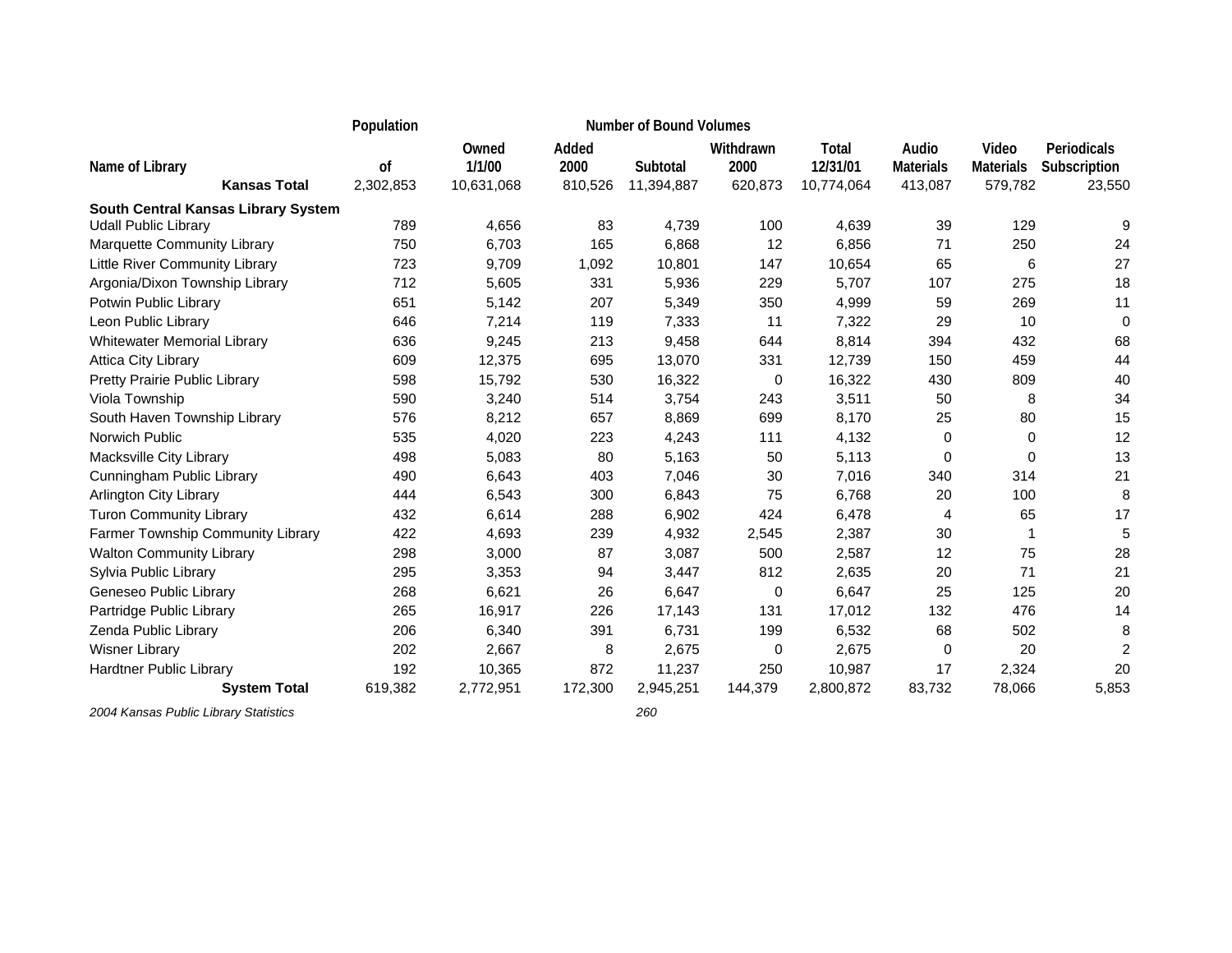|                                        | Population<br><b>Number of Bound Volumes</b> |                               |                          |                        |                              |                                 |                                      |                                      |                                       |
|----------------------------------------|----------------------------------------------|-------------------------------|--------------------------|------------------------|------------------------------|---------------------------------|--------------------------------------|--------------------------------------|---------------------------------------|
| Name of Library<br><b>Kansas Total</b> | 0f<br>2,302,853                              | Owned<br>1/1/00<br>10,631,068 | Added<br>2000<br>810,526 | Subtotal<br>11,394,887 | Withdrawn<br>2000<br>620,873 | Total<br>12/31/01<br>10,774,064 | Audio<br><b>Materials</b><br>413,087 | Video<br><b>Materials</b><br>579,782 | Periodicals<br>Subscription<br>23,550 |
| South Central Kansas Library System    |                                              |                               |                          |                        |                              |                                 |                                      |                                      |                                       |
| <b>Udall Public Library</b>            | 789                                          | 4,656                         | 83                       | 4,739                  | 100                          | 4,639                           | 39                                   | 129                                  | 9                                     |
| Marquette Community Library            | 750                                          | 6,703                         | 165                      | 6,868                  | 12                           | 6,856                           | 71                                   | 250                                  | 24                                    |
| <b>Little River Community Library</b>  | 723                                          | 9,709                         | 1,092                    | 10,801                 | 147                          | 10,654                          | 65                                   | 6                                    | 27                                    |
| Argonia/Dixon Township Library         | 712                                          | 5,605                         | 331                      | 5,936                  | 229                          | 5,707                           | 107                                  | 275                                  | 18                                    |
| Potwin Public Library                  | 651                                          | 5,142                         | 207                      | 5,349                  | 350                          | 4,999                           | 59                                   | 269                                  | 11                                    |
| Leon Public Library                    | 646                                          | 7,214                         | 119                      | 7,333                  | 11                           | 7,322                           | 29                                   | 10                                   | $\mathbf 0$                           |
| <b>Whitewater Memorial Library</b>     | 636                                          | 9,245                         | 213                      | 9,458                  | 644                          | 8,814                           | 394                                  | 432                                  | 68                                    |
| <b>Attica City Library</b>             | 609                                          | 12,375                        | 695                      | 13,070                 | 331                          | 12,739                          | 150                                  | 459                                  | 44                                    |
| Pretty Prairie Public Library          | 598                                          | 15,792                        | 530                      | 16,322                 | $\mathbf 0$                  | 16,322                          | 430                                  | 809                                  | 40                                    |
| Viola Township                         | 590                                          | 3,240                         | 514                      | 3,754                  | 243                          | 3,511                           | 50                                   | 8                                    | 34                                    |
| South Haven Township Library           | 576                                          | 8,212                         | 657                      | 8,869                  | 699                          | 8,170                           | 25                                   | 80                                   | 15                                    |
| Norwich Public                         | 535                                          | 4,020                         | 223                      | 4,243                  | 111                          | 4,132                           | 0                                    | 0                                    | 12                                    |
| Macksville City Library                | 498                                          | 5,083                         | 80                       | 5,163                  | 50                           | 5,113                           | $\Omega$                             | $\Omega$                             | 13                                    |
| Cunningham Public Library              | 490                                          | 6,643                         | 403                      | 7,046                  | 30                           | 7,016                           | 340                                  | 314                                  | 21                                    |
| <b>Arlington City Library</b>          | 444                                          | 6,543                         | 300                      | 6,843                  | 75                           | 6,768                           | 20                                   | 100                                  | 8                                     |
| <b>Turon Community Library</b>         | 432                                          | 6,614                         | 288                      | 6,902                  | 424                          | 6,478                           | 4                                    | 65                                   | 17                                    |
| Farmer Township Community Library      | 422                                          | 4,693                         | 239                      | 4,932                  | 2,545                        | 2,387                           | 30                                   | 1                                    | 5                                     |
| <b>Walton Community Library</b>        | 298                                          | 3,000                         | 87                       | 3,087                  | 500                          | 2,587                           | 12                                   | 75                                   | 28                                    |
| Sylvia Public Library                  | 295                                          | 3,353                         | 94                       | 3,447                  | 812                          | 2,635                           | 20                                   | 71                                   | 21                                    |
| Geneseo Public Library                 | 268                                          | 6,621                         | 26                       | 6,647                  | 0                            | 6,647                           | 25                                   | 125                                  | 20                                    |
| Partridge Public Library               | 265                                          | 16,917                        | 226                      | 17,143                 | 131                          | 17,012                          | 132                                  | 476                                  | 14                                    |
| Zenda Public Library                   | 206                                          | 6,340                         | 391                      | 6,731                  | 199                          | 6,532                           | 68                                   | 502                                  | 8                                     |
| <b>Wisner Library</b>                  | 202                                          | 2,667                         | 8                        | 2,675                  | 0                            | 2,675                           | 0                                    | 20                                   | $\overline{2}$                        |
| <b>Hardtner Public Library</b>         | 192                                          | 10,365                        | 872                      | 11,237                 | 250                          | 10,987                          | 17                                   | 2,324                                | 20                                    |
| <b>System Total</b>                    | 619,382                                      | 2,772,951                     | 172,300                  | 2,945,251              | 144,379                      | 2,800,872                       | 83,732                               | 78,066                               | 5,853                                 |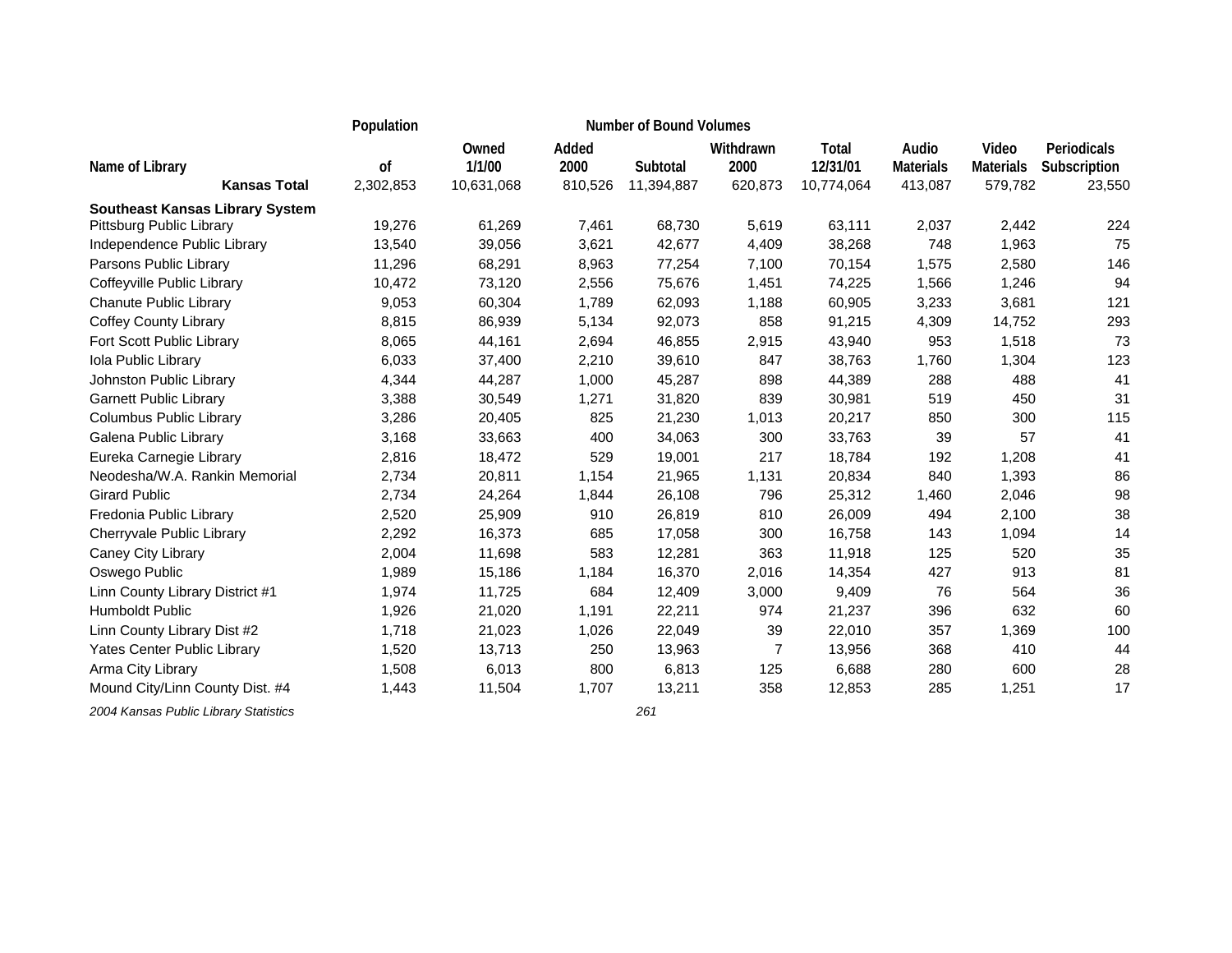|                                        | Population |                 |               | <b>Number of Bound Volumes</b> |                   |                   |                           |                           |                             |  |
|----------------------------------------|------------|-----------------|---------------|--------------------------------|-------------------|-------------------|---------------------------|---------------------------|-----------------------------|--|
| Name of Library                        | of         | Owned<br>1/1/00 | Added<br>2000 | Subtotal                       | Withdrawn<br>2000 | Total<br>12/31/01 | Audio<br><b>Materials</b> | Video<br><b>Materials</b> | Periodicals<br>Subscription |  |
| <b>Kansas Total</b>                    | 2,302,853  | 10,631,068      | 810,526       | 11,394,887                     | 620,873           | 10,774,064        | 413,087                   | 579,782                   | 23,550                      |  |
| <b>Southeast Kansas Library System</b> |            |                 |               |                                |                   |                   |                           |                           |                             |  |
| Pittsburg Public Library               | 19,276     | 61,269          | 7,461         | 68,730                         | 5,619             | 63,111            | 2,037                     | 2,442                     | 224                         |  |
| Independence Public Library            | 13,540     | 39,056          | 3,621         | 42,677                         | 4,409             | 38,268            | 748                       | 1,963                     | 75                          |  |
| Parsons Public Library                 | 11,296     | 68,291          | 8,963         | 77,254                         | 7,100             | 70,154            | 1,575                     | 2,580                     | 146                         |  |
| Coffeyville Public Library             | 10,472     | 73,120          | 2,556         | 75,676                         | 1,451             | 74,225            | 1,566                     | 1,246                     | 94                          |  |
| <b>Chanute Public Library</b>          | 9,053      | 60,304          | 1,789         | 62,093                         | 1,188             | 60,905            | 3,233                     | 3,681                     | 121                         |  |
| <b>Coffey County Library</b>           | 8,815      | 86,939          | 5,134         | 92,073                         | 858               | 91,215            | 4,309                     | 14,752                    | 293                         |  |
| Fort Scott Public Library              | 8,065      | 44,161          | 2,694         | 46,855                         | 2,915             | 43,940            | 953                       | 1,518                     | 73                          |  |
| <b>Iola Public Library</b>             | 6,033      | 37,400          | 2,210         | 39,610                         | 847               | 38,763            | 1,760                     | 1,304                     | 123                         |  |
| Johnston Public Library                | 4,344      | 44,287          | 1,000         | 45,287                         | 898               | 44,389            | 288                       | 488                       | 41                          |  |
| <b>Garnett Public Library</b>          | 3,388      | 30,549          | 1,271         | 31,820                         | 839               | 30,981            | 519                       | 450                       | 31                          |  |
| Columbus Public Library                | 3,286      | 20,405          | 825           | 21,230                         | 1,013             | 20,217            | 850                       | 300                       | 115                         |  |
| Galena Public Library                  | 3,168      | 33,663          | 400           | 34,063                         | 300               | 33,763            | 39                        | 57                        | 41                          |  |
| Eureka Carnegie Library                | 2,816      | 18,472          | 529           | 19,001                         | 217               | 18,784            | 192                       | 1,208                     | 41                          |  |
| Neodesha/W.A. Rankin Memorial          | 2,734      | 20,811          | 1,154         | 21,965                         | 1,131             | 20,834            | 840                       | 1,393                     | 86                          |  |
| <b>Girard Public</b>                   | 2,734      | 24,264          | 1,844         | 26,108                         | 796               | 25,312            | 1,460                     | 2,046                     | 98                          |  |
| Fredonia Public Library                | 2,520      | 25,909          | 910           | 26,819                         | 810               | 26,009            | 494                       | 2,100                     | 38                          |  |
| Cherryvale Public Library              | 2,292      | 16,373          | 685           | 17,058                         | 300               | 16,758            | 143                       | 1,094                     | 14                          |  |
| Caney City Library                     | 2,004      | 11,698          | 583           | 12,281                         | 363               | 11,918            | 125                       | 520                       | 35                          |  |
| Oswego Public                          | 1,989      | 15,186          | 1,184         | 16,370                         | 2,016             | 14,354            | 427                       | 913                       | 81                          |  |
| Linn County Library District #1        | 1,974      | 11,725          | 684           | 12,409                         | 3,000             | 9,409             | 76                        | 564                       | 36                          |  |
| Humboldt Public                        | 1,926      | 21,020          | 1,191         | 22,211                         | 974               | 21,237            | 396                       | 632                       | 60                          |  |
| Linn County Library Dist #2            | 1,718      | 21,023          | 1,026         | 22,049                         | 39                | 22,010            | 357                       | 1,369                     | 100                         |  |
| Yates Center Public Library            | 1,520      | 13,713          | 250           | 13,963                         | $\overline{7}$    | 13,956            | 368                       | 410                       | 44                          |  |
| Arma City Library                      | 1,508      | 6,013           | 800           | 6,813                          | 125               | 6,688             | 280                       | 600                       | 28                          |  |
| Mound City/Linn County Dist. #4        | 1,443      | 11,504          | 1,707         | 13,211                         | 358               | 12,853            | 285                       | 1,251                     | 17                          |  |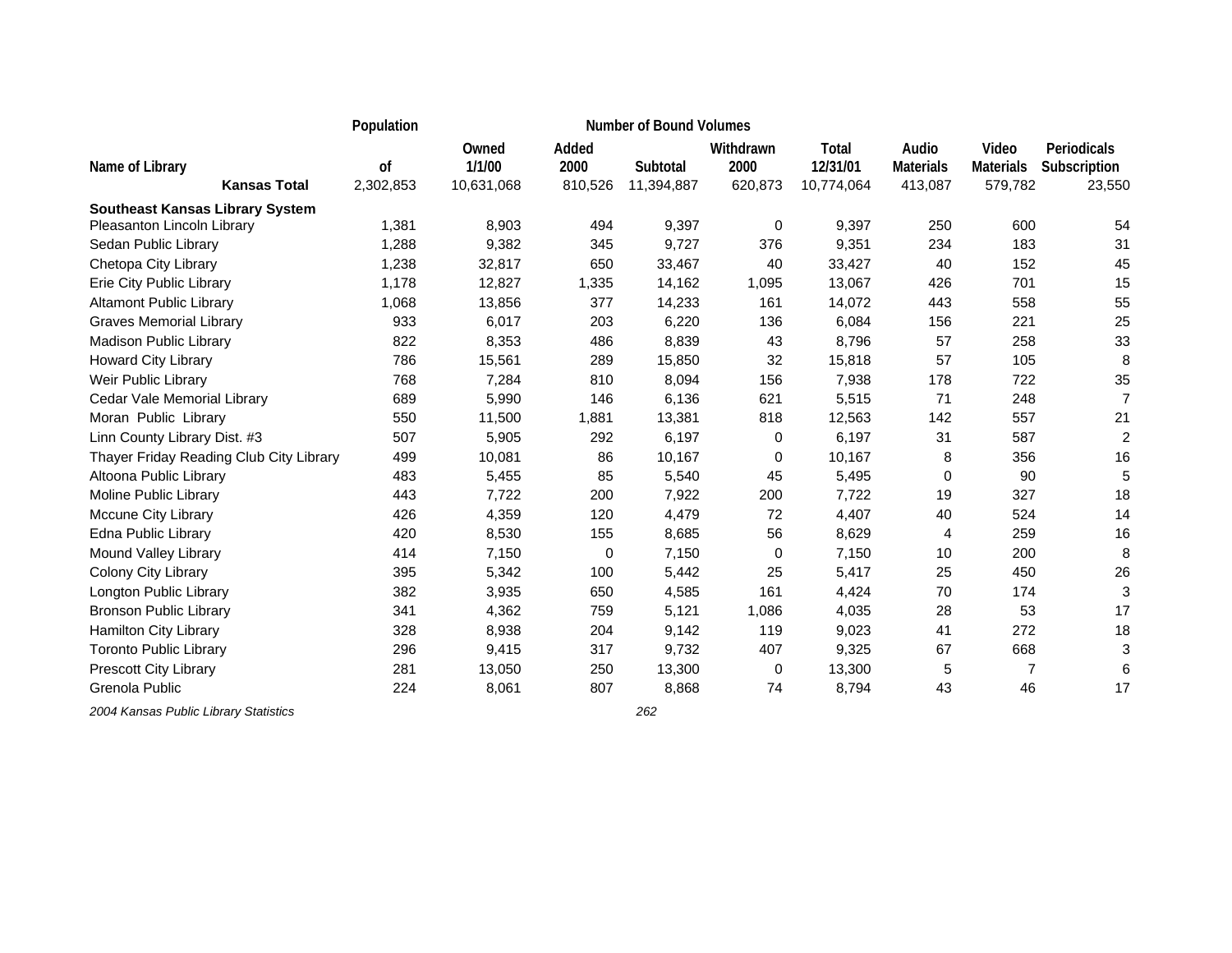|                                         | Population |                 |               | <b>Number of Bound Volumes</b> |                   |                   |                           |                           |                             |
|-----------------------------------------|------------|-----------------|---------------|--------------------------------|-------------------|-------------------|---------------------------|---------------------------|-----------------------------|
| Name of Library                         | of         | Owned<br>1/1/00 | Added<br>2000 | Subtotal                       | Withdrawn<br>2000 | Total<br>12/31/01 | Audio<br><b>Materials</b> | Video<br><b>Materials</b> | Periodicals<br>Subscription |
| <b>Kansas Total</b>                     | 2,302,853  | 10,631,068      | 810,526       | 11,394,887                     | 620,873           | 10,774,064        | 413,087                   | 579,782                   | 23,550                      |
| <b>Southeast Kansas Library System</b>  |            |                 |               |                                |                   |                   |                           |                           |                             |
| Pleasanton Lincoln Library              | 1,381      | 8,903           | 494           | 9,397                          | $\mathbf 0$       | 9,397             | 250                       | 600                       | 54                          |
| Sedan Public Library                    | 1,288      | 9,382           | 345           | 9,727                          | 376               | 9,351             | 234                       | 183                       | 31                          |
| Chetopa City Library                    | 1,238      | 32,817          | 650           | 33,467                         | 40                | 33,427            | 40                        | 152                       | 45                          |
| Erie City Public Library                | 1,178      | 12,827          | 1,335         | 14,162                         | 1,095             | 13,067            | 426                       | 701                       | 15                          |
| <b>Altamont Public Library</b>          | 1,068      | 13,856          | 377           | 14,233                         | 161               | 14,072            | 443                       | 558                       | 55                          |
| <b>Graves Memorial Library</b>          | 933        | 6,017           | 203           | 6,220                          | 136               | 6,084             | 156                       | 221                       | 25                          |
| Madison Public Library                  | 822        | 8,353           | 486           | 8,839                          | 43                | 8,796             | 57                        | 258                       | 33                          |
| Howard City Library                     | 786        | 15,561          | 289           | 15,850                         | 32                | 15,818            | 57                        | 105                       | 8                           |
| Weir Public Library                     | 768        | 7,284           | 810           | 8,094                          | 156               | 7,938             | 178                       | 722                       | 35                          |
| Cedar Vale Memorial Library             | 689        | 5,990           | 146           | 6,136                          | 621               | 5,515             | 71                        | 248                       | 7                           |
| Moran Public Library                    | 550        | 11,500          | 1,881         | 13,381                         | 818               | 12,563            | 142                       | 557                       | 21                          |
| Linn County Library Dist. #3            | 507        | 5,905           | 292           | 6,197                          | $\mathbf 0$       | 6,197             | 31                        | 587                       | $\overline{2}$              |
| Thayer Friday Reading Club City Library | 499        | 10,081          | 86            | 10,167                         | $\Omega$          | 10,167            | 8                         | 356                       | 16                          |
| Altoona Public Library                  | 483        | 5,455           | 85            | 5,540                          | 45                | 5,495             | 0                         | 90                        |                             |
| Moline Public Library                   | 443        | 7,722           | 200           | 7,922                          | 200               | 7,722             | 19                        | 327                       | 18                          |
| <b>Mccune City Library</b>              | 426        | 4,359           | 120           | 4,479                          | 72                | 4,407             | 40                        | 524                       | 14                          |
| Edna Public Library                     | 420        | 8,530           | 155           | 8,685                          | 56                | 8,629             | 4                         | 259                       | 16                          |
| Mound Valley Library                    | 414        | 7,150           | 0             | 7,150                          | 0                 | 7,150             | 10                        | 200                       | 8                           |
| <b>Colony City Library</b>              | 395        | 5,342           | 100           | 5,442                          | 25                | 5,417             | 25                        | 450                       | 26                          |
| Longton Public Library                  | 382        | 3,935           | 650           | 4,585                          | 161               | 4,424             | 70                        | 174                       | 3                           |
| <b>Bronson Public Library</b>           | 341        | 4,362           | 759           | 5,121                          | 1,086             | 4,035             | 28                        | 53                        | 17                          |
| Hamilton City Library                   | 328        | 8,938           | 204           | 9,142                          | 119               | 9,023             | 41                        | 272                       | 18                          |
| <b>Toronto Public Library</b>           | 296        | 9,415           | 317           | 9,732                          | 407               | 9,325             | 67                        | 668                       | 3                           |
| <b>Prescott City Library</b>            | 281        | 13,050          | 250           | 13,300                         | 0                 | 13,300            | 5                         | $\overline{7}$            | 6                           |
| Grenola Public                          | 224        | 8,061           | 807           | 8,868                          | 74                | 8,794             | 43                        | 46                        | 17                          |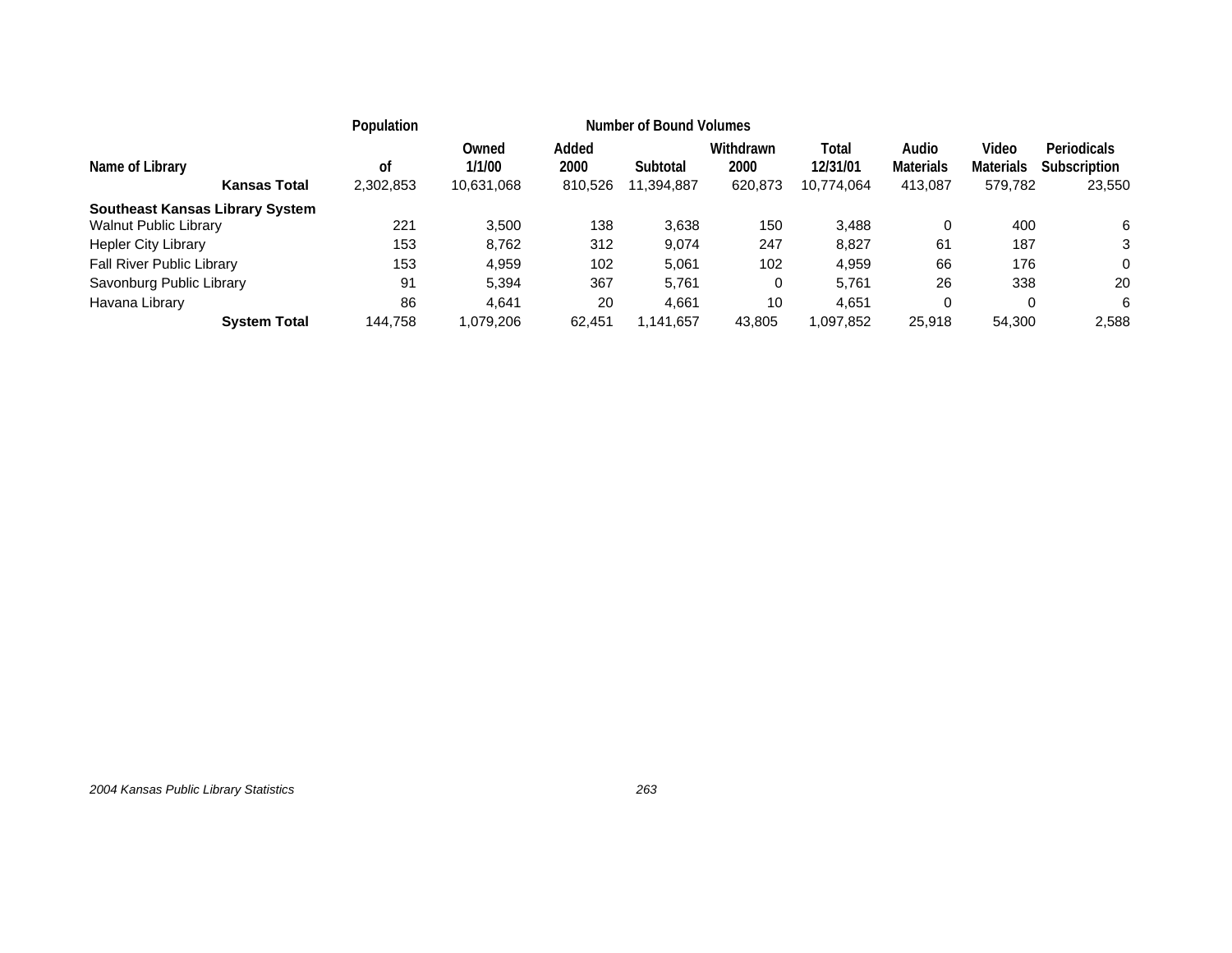|                                        |                     | Population      | <b>Number of Bound Volumes</b> |                          |                        |                              |                                 |                                      |                                      |                                       |
|----------------------------------------|---------------------|-----------------|--------------------------------|--------------------------|------------------------|------------------------------|---------------------------------|--------------------------------------|--------------------------------------|---------------------------------------|
| Name of Library                        | <b>Kansas Total</b> | οf<br>2,302,853 | Owned<br>1/1/00<br>10,631,068  | Added<br>2000<br>810,526 | Subtotal<br>11,394,887 | Withdrawn<br>2000<br>620,873 | Total<br>12/31/01<br>10,774,064 | Audio<br><b>Materials</b><br>413,087 | Video<br><b>Materials</b><br>579,782 | Periodicals<br>Subscription<br>23,550 |
| <b>Southeast Kansas Library System</b> |                     |                 |                                |                          |                        |                              |                                 |                                      |                                      |                                       |
| <b>Walnut Public Library</b>           |                     | 221             | 3.500                          | 138                      | 3,638                  | 150                          | 3,488                           | 0                                    | 400                                  | 6                                     |
| Hepler City Library                    |                     | 153             | 8.762                          | 312                      | 9,074                  | 247                          | 8,827                           | 61                                   | 187                                  | 3                                     |
| <b>Fall River Public Library</b>       |                     | 153             | 4,959                          | 102                      | 5,061                  | 102                          | 4,959                           | 66                                   | 176                                  | 0                                     |
| Savonburg Public Library               |                     | 91              | 5,394                          | 367                      | 5.761                  |                              | 5.761                           | 26                                   | 338                                  | 20                                    |
| Havana Library                         |                     | 86              | 4,641                          | 20                       | 4,661                  | 10                           | 4,651                           | 0                                    | 0                                    | 6                                     |
|                                        | <b>System Total</b> | 144,758         | 1.079.206                      | 62.451                   | ,141,657               | 43,805                       | 1,097,852                       | 25,918                               | 54,300                               | 2,588                                 |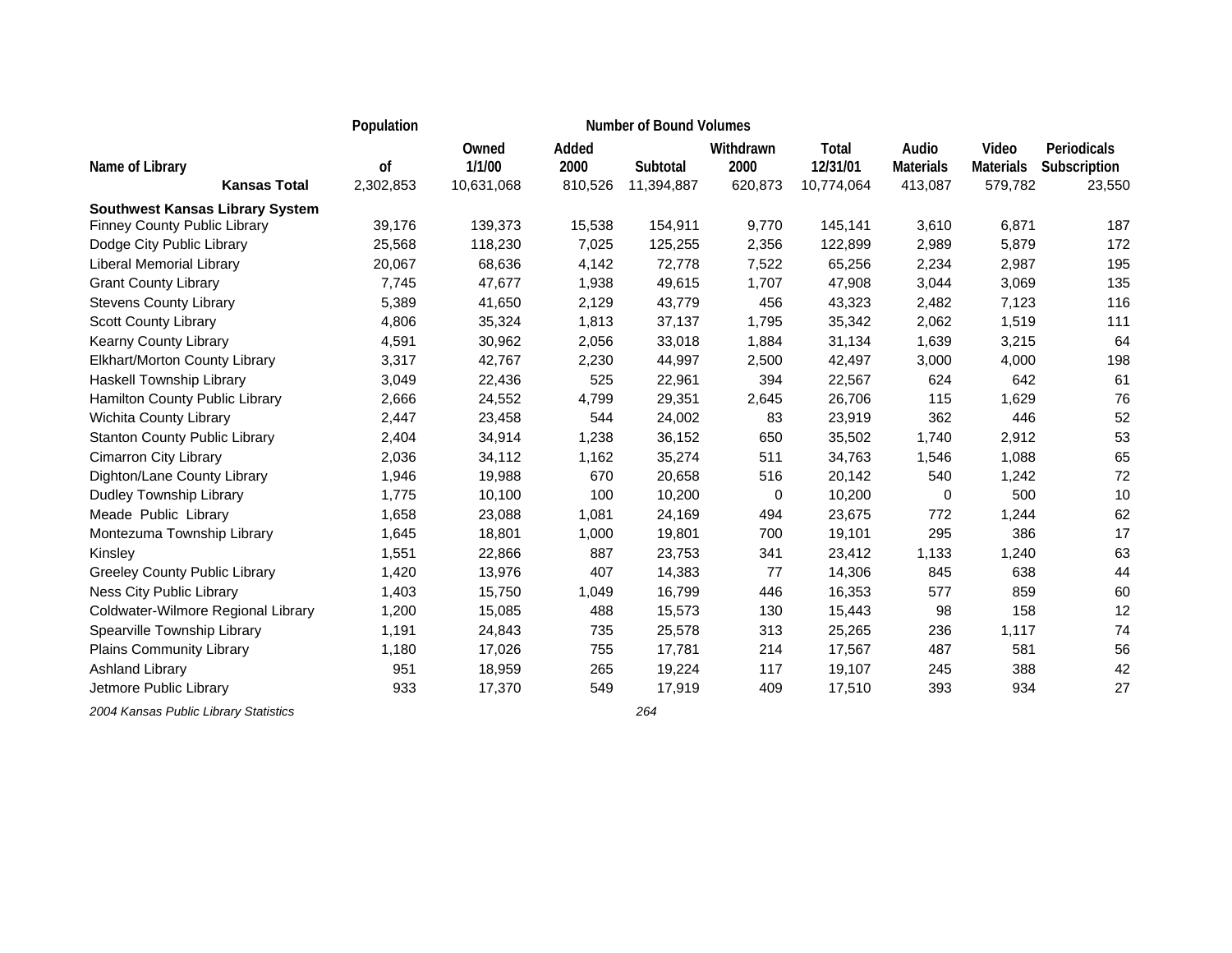|                                        | Population |                 |               | <b>Number of Bound Volumes</b> |                   |                   |                           |                           |                             |
|----------------------------------------|------------|-----------------|---------------|--------------------------------|-------------------|-------------------|---------------------------|---------------------------|-----------------------------|
| Name of Library                        | of         | Owned<br>1/1/00 | Added<br>2000 | Subtotal                       | Withdrawn<br>2000 | Total<br>12/31/01 | Audio<br><b>Materials</b> | Video<br><b>Materials</b> | Periodicals<br>Subscription |
| <b>Kansas Total</b>                    | 2,302,853  | 10,631,068      | 810,526       | 11,394,887                     | 620,873           | 10,774,064        | 413,087                   | 579,782                   | 23,550                      |
| <b>Southwest Kansas Library System</b> |            |                 |               |                                |                   |                   |                           |                           |                             |
| <b>Finney County Public Library</b>    | 39,176     | 139,373         | 15,538        | 154,911                        | 9,770             | 145,141           | 3,610                     | 6,871                     | 187                         |
| Dodge City Public Library              | 25,568     | 118,230         | 7,025         | 125,255                        | 2,356             | 122,899           | 2,989                     | 5,879                     | 172                         |
| Liberal Memorial Library               | 20,067     | 68,636          | 4,142         | 72,778                         | 7,522             | 65,256            | 2,234                     | 2,987                     | 195                         |
| <b>Grant County Library</b>            | 7,745      | 47,677          | 1,938         | 49,615                         | 1,707             | 47,908            | 3,044                     | 3,069                     | 135                         |
| <b>Stevens County Library</b>          | 5,389      | 41,650          | 2,129         | 43,779                         | 456               | 43,323            | 2,482                     | 7,123                     | 116                         |
| <b>Scott County Library</b>            | 4,806      | 35,324          | 1,813         | 37,137                         | 1,795             | 35,342            | 2,062                     | 1,519                     | 111                         |
| Kearny County Library                  | 4,591      | 30,962          | 2,056         | 33,018                         | 1,884             | 31,134            | 1,639                     | 3,215                     | 64                          |
| Elkhart/Morton County Library          | 3,317      | 42,767          | 2,230         | 44,997                         | 2,500             | 42,497            | 3,000                     | 4,000                     | 198                         |
| Haskell Township Library               | 3,049      | 22,436          | 525           | 22,961                         | 394               | 22,567            | 624                       | 642                       | 61                          |
| Hamilton County Public Library         | 2,666      | 24,552          | 4,799         | 29,351                         | 2,645             | 26,706            | 115                       | 1,629                     | 76                          |
| Wichita County Library                 | 2,447      | 23,458          | 544           | 24,002                         | 83                | 23,919            | 362                       | 446                       | 52                          |
| <b>Stanton County Public Library</b>   | 2,404      | 34,914          | 1,238         | 36,152                         | 650               | 35,502            | 1,740                     | 2,912                     | 53                          |
| <b>Cimarron City Library</b>           | 2,036      | 34,112          | 1,162         | 35,274                         | 511               | 34,763            | 1,546                     | 1,088                     | 65                          |
| Dighton/Lane County Library            | 1,946      | 19,988          | 670           | 20,658                         | 516               | 20,142            | 540                       | 1,242                     | 72                          |
| Dudley Township Library                | 1,775      | 10,100          | 100           | 10,200                         | 0                 | 10,200            | 0                         | 500                       | 10                          |
| Meade Public Library                   | 1,658      | 23,088          | 1,081         | 24,169                         | 494               | 23,675            | 772                       | 1,244                     | 62                          |
| Montezuma Township Library             | 1,645      | 18,801          | 1,000         | 19,801                         | 700               | 19,101            | 295                       | 386                       | 17                          |
| Kinsley                                | 1,551      | 22,866          | 887           | 23,753                         | 341               | 23,412            | 1,133                     | 1,240                     | 63                          |
| <b>Greeley County Public Library</b>   | 1,420      | 13,976          | 407           | 14,383                         | 77                | 14,306            | 845                       | 638                       | 44                          |
| Ness City Public Library               | 1,403      | 15,750          | 1,049         | 16,799                         | 446               | 16,353            | 577                       | 859                       | 60                          |
| Coldwater-Wilmore Regional Library     | 1,200      | 15,085          | 488           | 15,573                         | 130               | 15,443            | 98                        | 158                       | 12                          |
| Spearville Township Library            | 1,191      | 24,843          | 735           | 25,578                         | 313               | 25,265            | 236                       | 1,117                     | 74                          |
| Plains Community Library               | 1,180      | 17,026          | 755           | 17,781                         | 214               | 17,567            | 487                       | 581                       | 56                          |
| Ashland Library                        | 951        | 18,959          | 265           | 19,224                         | 117               | 19,107            | 245                       | 388                       | 42                          |
| Jetmore Public Library                 | 933        | 17,370          | 549           | 17,919                         | 409               | 17,510            | 393                       | 934                       | 27                          |